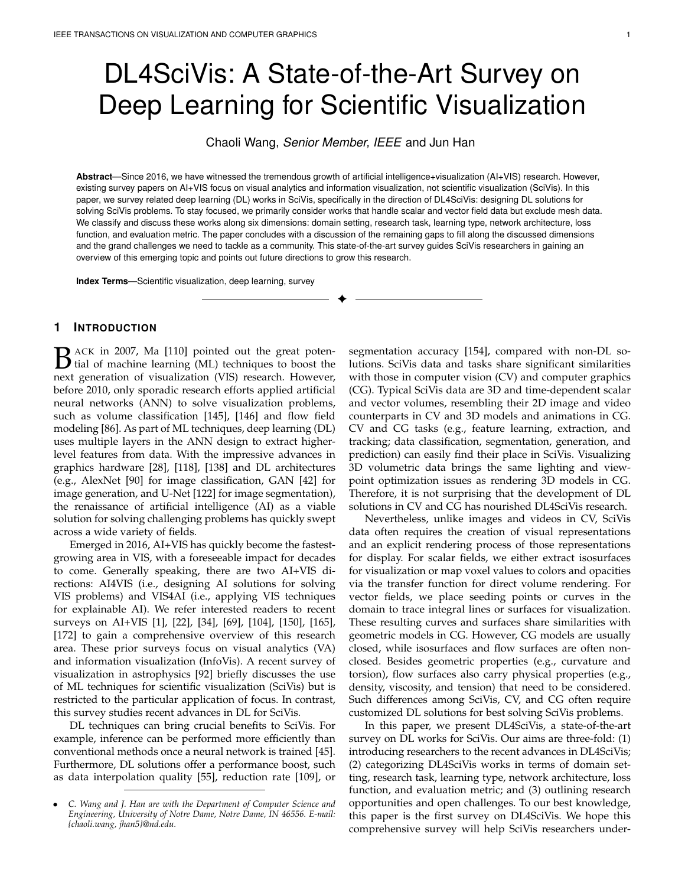# DL4SciVis: A State-of-the-Art Survey on Deep Learning for Scientific Visualization

Chaoli Wang, *Senior Member, IEEE* and Jun Han

**Abstract**—Since 2016, we have witnessed the tremendous growth of artificial intelligence+visualization (AI+VIS) research. However, existing survey papers on AI+VIS focus on visual analytics and information visualization, not scientific visualization (SciVis). In this paper, we survey related deep learning (DL) works in SciVis, specifically in the direction of DL4SciVis: designing DL solutions for solving SciVis problems. To stay focused, we primarily consider works that handle scalar and vector field data but exclude mesh data. We classify and discuss these works along six dimensions: domain setting, research task, learning type, network architecture, loss function, and evaluation metric. The paper concludes with a discussion of the remaining gaps to fill along the discussed dimensions and the grand challenges we need to tackle as a community. This state-of-the-art survey guides SciVis researchers in gaining an overview of this emerging topic and points out future directions to grow this research.

✦

**Index Terms**—Scientific visualization, deep learning, survey

# **1 INTRODUCTION**

B ACK in 2007, Ma [110] pointed out the great potential of machine learning (ML) techniques to boost the next concration of visualization (VIS) research. However  $\Box$  ACK in 2007, Ma [\[110\]](#page-17-0) pointed out the great potennext generation of visualization (VIS) research. However, before 2010, only sporadic research efforts applied artificial neural networks (ANN) to solve visualization problems, such as volume classification [\[145\]](#page-18-0), [\[146\]](#page-18-1) and flow field modeling [\[86\]](#page-17-1). As part of ML techniques, deep learning (DL) uses multiple layers in the ANN design to extract higherlevel features from data. With the impressive advances in graphics hardware [\[28\]](#page-16-0), [\[118\]](#page-18-2), [\[138\]](#page-18-3) and DL architectures (e.g., AlexNet [\[90\]](#page-17-2) for image classification, GAN [\[42\]](#page-16-1) for image generation, and U-Net [\[122\]](#page-18-4) for image segmentation), the renaissance of artificial intelligence (AI) as a viable solution for solving challenging problems has quickly swept across a wide variety of fields.

Emerged in 2016, AI+VIS has quickly become the fastestgrowing area in VIS, with a foreseeable impact for decades to come. Generally speaking, there are two AI+VIS directions: AI4VIS (i.e., designing AI solutions for solving VIS problems) and VIS4AI (i.e., applying VIS techniques for explainable AI). We refer interested readers to recent surveys on AI+VIS [\[1\]](#page-15-0), [\[22\]](#page-15-1), [\[34\]](#page-16-2), [\[69\]](#page-17-3), [\[104\]](#page-17-4), [\[150\]](#page-18-5), [\[165\]](#page-19-0), [\[172\]](#page-19-1) to gain a comprehensive overview of this research area. These prior surveys focus on visual analytics (VA) and information visualization (InfoVis). A recent survey of visualization in astrophysics [\[92\]](#page-17-5) briefly discusses the use of ML techniques for scientific visualization (SciVis) but is restricted to the particular application of focus. In contrast, this survey studies recent advances in DL for SciVis.

DL techniques can bring crucial benefits to SciVis. For example, inference can be performed more efficiently than conventional methods once a neural network is trained [\[45\]](#page-16-3). Furthermore, DL solutions offer a performance boost, such as data interpolation quality [\[55\]](#page-16-4), reduction rate [\[109\]](#page-17-6), or

segmentation accuracy [\[154\]](#page-18-6), compared with non-DL solutions. SciVis data and tasks share significant similarities with those in computer vision (CV) and computer graphics (CG). Typical SciVis data are 3D and time-dependent scalar and vector volumes, resembling their 2D image and video counterparts in CV and 3D models and animations in CG. CV and CG tasks (e.g., feature learning, extraction, and tracking; data classification, segmentation, generation, and prediction) can easily find their place in SciVis. Visualizing 3D volumetric data brings the same lighting and viewpoint optimization issues as rendering 3D models in CG. Therefore, it is not surprising that the development of DL solutions in CV and CG has nourished DL4SciVis research.

Nevertheless, unlike images and videos in CV, SciVis data often requires the creation of visual representations and an explicit rendering process of those representations for display. For scalar fields, we either extract isosurfaces for visualization or map voxel values to colors and opacities via the transfer function for direct volume rendering. For vector fields, we place seeding points or curves in the domain to trace integral lines or surfaces for visualization. These resulting curves and surfaces share similarities with geometric models in CG. However, CG models are usually closed, while isosurfaces and flow surfaces are often nonclosed. Besides geometric properties (e.g., curvature and torsion), flow surfaces also carry physical properties (e.g., density, viscosity, and tension) that need to be considered. Such differences among SciVis, CV, and CG often require customized DL solutions for best solving SciVis problems.

In this paper, we present DL4SciVis, a state-of-the-art survey on DL works for SciVis. Our aims are three-fold: (1) introducing researchers to the recent advances in DL4SciVis; (2) categorizing DL4SciVis works in terms of domain setting, research task, learning type, network architecture, loss function, and evaluation metric; and (3) outlining research opportunities and open challenges. To our best knowledge, this paper is the first survey on DL4SciVis. We hope this comprehensive survey will help SciVis researchers under-

<sup>•</sup> *C. Wang and J. Han are with the Department of Computer Science and Engineering, University of Notre Dame, Notre Dame, IN 46556. E-mail: {chaoli.wang, jhan5}@nd.edu.*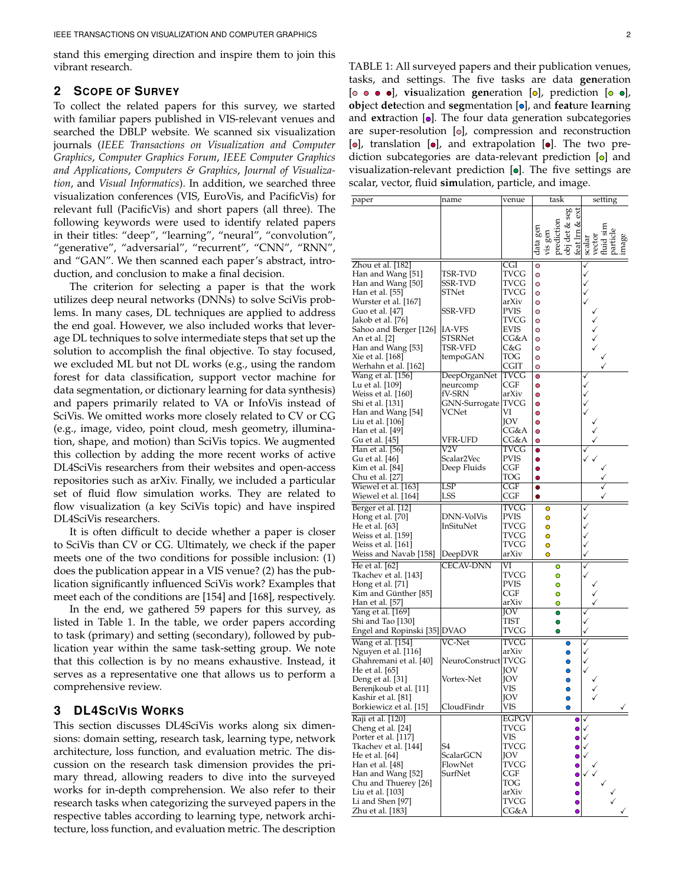stand this emerging direction and inspire them to join this vibrant research.

# **2 SCOPE OF SURVEY**

To collect the related papers for this survey, we started with familiar papers published in VIS-relevant venues and searched the DBLP website. We scanned six visualization journals (*IEEE Transactions on Visualization and Computer Graphics*, *Computer Graphics Forum*, *IEEE Computer Graphics and Applications*, *Computers & Graphics*, *Journal of Visualization*, and *Visual Informatics*). In addition, we searched three visualization conferences (VIS, EuroVis, and PacificVis) for relevant full (PacificVis) and short papers (all three). The following keywords were used to identify related papers in their titles: "deep", "learning", "neural", "convolution", "generative", "adversarial", "recurrent", "CNN", "RNN", and "GAN". We then scanned each paper's abstract, introduction, and conclusion to make a final decision.

The criterion for selecting a paper is that the work utilizes deep neural networks (DNNs) to solve SciVis problems. In many cases, DL techniques are applied to address the end goal. However, we also included works that leverage DL techniques to solve intermediate steps that set up the solution to accomplish the final objective. To stay focused, we excluded ML but not DL works (e.g., using the random forest for data classification, support vector machine for data segmentation, or dictionary learning for data synthesis) and papers primarily related to VA or InfoVis instead of SciVis. We omitted works more closely related to CV or CG (e.g., image, video, point cloud, mesh geometry, illumination, shape, and motion) than SciVis topics. We augmented this collection by adding the more recent works of active DL4SciVis researchers from their websites and open-access repositories such as arXiv. Finally, we included a particular set of fluid flow simulation works. They are related to flow visualization (a key SciVis topic) and have inspired DL4SciVis researchers.

It is often difficult to decide whether a paper is closer to SciVis than CV or CG. Ultimately, we check if the paper meets one of the two conditions for possible inclusion: (1) does the publication appear in a VIS venue? (2) has the publication significantly influenced SciVis work? Examples that meet each of the conditions are [\[154\]](#page-18-6) and [\[168\]](#page-19-2), respectively.

In the end, we gathered 59 papers for this survey, as listed in Table [1.](#page-1-0) In the table, we order papers according to task (primary) and setting (secondary), followed by publication year within the same task-setting group. We note that this collection is by no means exhaustive. Instead, it serves as a representative one that allows us to perform a comprehensive review.

# **3 DL4SCIVIS WORKS**

This section discusses DL4SciVis works along six dimensions: domain setting, research task, learning type, network architecture, loss function, and evaluation metric. The discussion on the research task dimension provides the primary thread, allowing readers to dive into the surveyed works for in-depth comprehension. We also refer to their research tasks when categorizing the surveyed papers in the respective tables according to learning type, network architecture, loss function, and evaluation metric. The description <span id="page-1-0"></span>TABLE 1: All surveyed papers and their publication venues, tasks, and settings. The five tasks are data **gen**eration [o  $\bullet$   $\bullet$ ], visualization generation [o], prediction [o  $\bullet$ ], *diab* detection and **seg**mentation  $\left[ \circ \right]$ , and **feature** learning and **extraction**  $[•]$ . The four data generation subcategories are super-resolution  $[0]$ , compression and reconstruction  $\lceil \circ \rceil$ , translation  $\lceil \circ \rceil$ , and extrapolation  $\lceil \circ \rceil$ . The two prediction subcategories are data-relevant prediction  $[ $\circ$ ]$  and visualization-relevant prediction  $[ \bullet ]$ . The five settings are scalar, vector, fluid **sim**ulation, particle, and image.

| paper                                             | name                    | venue                   |           | task                  |                    | setting      |                                                                     |              |
|---------------------------------------------------|-------------------------|-------------------------|-----------|-----------------------|--------------------|--------------|---------------------------------------------------------------------|--------------|
|                                                   |                         |                         |           |                       | š                  |              |                                                                     |              |
|                                                   |                         |                         |           |                       | obj det & seg<br>ళ |              |                                                                     |              |
|                                                   |                         |                         |           |                       |                    |              |                                                                     |              |
|                                                   |                         |                         |           |                       |                    |              |                                                                     |              |
|                                                   |                         |                         | data gen  | prediction<br>vis gen | feat Im            | scalar       | vector<br>fluid sim                                                 | image        |
|                                                   |                         |                         |           |                       |                    |              |                                                                     |              |
| Zhou et al. [182]                                 |                         | CGI                     | Ō         |                       |                    |              |                                                                     |              |
| Han and Wang [51]                                 | TSR-TVD                 | TVCG                    | O         |                       |                    | $\checkmark$ |                                                                     |              |
| Han and Wang [50]                                 | SSR-TVD                 | TVCG                    | O         |                       |                    |              |                                                                     |              |
| Han et al. [55]                                   | STNet                   | TVCG                    | O         |                       |                    |              |                                                                     |              |
| Wurster et al. [167]                              |                         | arXiv                   | O         |                       |                    |              |                                                                     |              |
| Guo et al. [47]                                   | <b>SSR-VFD</b>          | <b>PVIS</b>             | O         |                       |                    |              |                                                                     |              |
| Jakob et al. [76]                                 |                         | TVCG                    | $\circ$   |                       |                    |              |                                                                     |              |
| Sahoo and Berger [126]                            | IA-VFS                  | EVIS                    | O         |                       |                    |              |                                                                     |              |
| An et al. [2]                                     | STSRNet                 | CG&A                    | O         |                       |                    |              | $\begin{array}{c}\n\checkmark\\ \checkmark\\ \checkmark\end{array}$ |              |
| Han and Wang [53]                                 | TSR-VFD                 | C&G                     | O         |                       |                    |              |                                                                     |              |
| Xie et al. [168]                                  | tempoGAN                | TOG                     | $\circ$   |                       |                    |              |                                                                     |              |
| Werhahn et al. [162]                              |                         | CGIT                    | O         |                       |                    |              |                                                                     |              |
| Wang et al. [156]                                 | DeepOrganNet            | TVCG                    | O         |                       |                    |              |                                                                     |              |
| Lu et al. [109]                                   | neurcomp                | CGF                     | $\bullet$ |                       |                    |              |                                                                     |              |
| Weiss et al. [160]                                | fV-SRN                  | arXiv                   | $\bullet$ |                       |                    |              |                                                                     |              |
| Shi et al. [131]                                  | GNN-Surrogate           | TVCG                    | O         |                       |                    |              |                                                                     |              |
| Han and Wang [54]                                 | VCNet                   | VI                      | $\bullet$ |                       |                    |              |                                                                     |              |
| Liu et al. [106]                                  |                         | ЮV                      | $\bullet$ |                       |                    |              |                                                                     |              |
| Han et al. [49]                                   |                         | CG&A                    | $\bullet$ |                       |                    |              |                                                                     |              |
| Gu et al. [45]                                    | VFR-UFD                 | CG&A                    | O         |                       |                    |              |                                                                     |              |
| Han et al. [56]                                   | $\overline{\text{V2V}}$ | TVCG                    | $\bullet$ |                       |                    |              |                                                                     |              |
| Gu et al. [46]                                    | Scalar2Vec              | <b>PVIS</b>             | $\bullet$ |                       |                    |              |                                                                     |              |
| Kim et al. [84]                                   | Deep Fluids             | CGF                     | $\bullet$ |                       |                    |              |                                                                     |              |
| Chu et al. [27]                                   |                         | TOG                     |           |                       |                    |              |                                                                     |              |
| Wiewel et al. [163]                               | LSP                     | $\overline{\text{CGF}}$ | $\bullet$ |                       |                    |              |                                                                     |              |
| Wiewel et al. [164]                               | LSS                     | CGF                     | $\bullet$ |                       |                    |              |                                                                     |              |
| Berger et al. [12]                                |                         | TVCG                    |           | $\bullet$             |                    | √            |                                                                     |              |
| Hong et al. [70]                                  | DNN-VolVis              | PVIS                    |           | $\bullet$             |                    | $\checkmark$ |                                                                     |              |
| He et al. [63]                                    | InSituNet               | TVCG                    |           | $\bullet$             |                    |              |                                                                     |              |
| Weiss et al. [159]                                |                         | TVCG                    |           | $\bullet$             |                    |              |                                                                     |              |
| Weiss et al. [161]                                |                         | TVCG                    |           | $\bullet$             |                    |              |                                                                     |              |
| Weiss and Navab [158]                             | DeepDVR                 | arXiv                   |           | $\bullet$             |                    |              |                                                                     |              |
| He et al. [62]                                    | <b>CECAV-DNN</b>        | VI                      |           | $\bullet$             |                    |              |                                                                     |              |
| Tkachev et al. [143]                              |                         | TVCG                    |           | $\bullet$             |                    |              |                                                                     |              |
| Hong et al. [71]                                  |                         | PVIS                    |           | $\bullet$             |                    |              |                                                                     |              |
| Kim and Günther [85]                              |                         | CGF                     |           | O                     |                    |              |                                                                     |              |
| Han et al. [57]                                   |                         | arXiv                   |           | O                     |                    |              |                                                                     |              |
| Yang et al. [169]                                 |                         | ЮV                      |           | $\bullet$             |                    |              |                                                                     |              |
|                                                   |                         | TIST                    |           | Ο                     |                    | ✓            |                                                                     |              |
| Shi and Tao [130]<br>Engel and Ropinski [35] DVAO |                         | TVCG                    |           | Ο                     |                    |              |                                                                     |              |
|                                                   |                         |                         |           |                       |                    |              |                                                                     |              |
| Wang et al. [154]                                 | VC-Net                  | TVCG                    |           |                       | Ō                  |              |                                                                     |              |
| Nguyen et al. [116]                               |                         | arXiv                   |           |                       |                    |              |                                                                     |              |
| Ghahremani et al. [40]                            | NeuroConstruct TVCG     |                         |           |                       |                    |              |                                                                     |              |
| He et al. [65]                                    |                         | ЮV                      |           |                       |                    |              |                                                                     |              |
| Deng et al. [31]                                  | Vortex-Net              | ЮV                      |           |                       |                    |              |                                                                     |              |
| Berenjkoub et al. [11]                            |                         | VIS                     |           |                       |                    |              |                                                                     |              |
| Kashir et al. [81]                                |                         | JOV                     |           |                       |                    |              |                                                                     |              |
| Borkiewicz et al. [15]                            | CloudFindr              | VIS                     |           |                       | $\bullet$          |              |                                                                     |              |
| Raji et al. [120]                                 |                         | <b>EGPGV</b>            |           |                       | $\bullet$          |              |                                                                     |              |
| Cheng et al. [24]                                 |                         | TVCG                    |           |                       | $\bullet$          |              |                                                                     |              |
| Porter et al. [117]                               |                         | VIS                     |           |                       | $\bullet$          |              |                                                                     |              |
| Tkachev et al. [144]                              | S4                      | TVCG                    |           |                       | $\bullet$          | ✓            |                                                                     |              |
| He et al. [64]                                    | ScalarGCN               | JOV.                    |           |                       | $\bullet$          |              |                                                                     |              |
| Han et al. [48]                                   | FlowNet                 | TVCG                    |           |                       | 0                  |              |                                                                     |              |
| Han and Wang [52]                                 | SurfNet                 | CGF                     |           |                       | $\bullet$          |              |                                                                     |              |
| Chu and Thuerey [26]                              |                         | TOG                     |           |                       | $\bullet$          |              |                                                                     |              |
| Liu et al. [103]                                  |                         | arXiv                   |           |                       | $\bullet$          |              |                                                                     |              |
| Li and Shen [97]                                  |                         | TVCG                    |           |                       | $\bullet$          |              |                                                                     |              |
| Zhu et al. [183]                                  |                         | CG&A                    |           |                       | $\bullet$          |              |                                                                     | $\checkmark$ |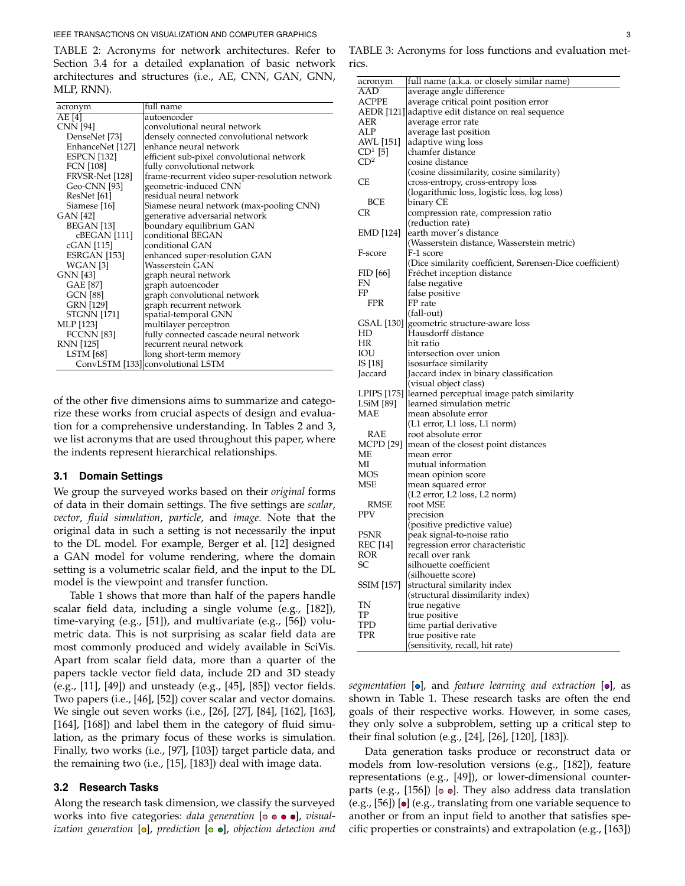<span id="page-2-0"></span>TABLE 2: Acronyms for network architectures. Refer to Section [3.4](#page-9-0) for a detailed explanation of basic network architectures and structures (i.e., AE, CNN, GAN, GNN, MLP, RNN).

| acronym            | full name                                      |
|--------------------|------------------------------------------------|
| AE [4]             | autoencoder                                    |
| CNN [94]           | convolutional neural network                   |
| DenseNet [73]      | densely connected convolutional network        |
| EnhanceNet [127]   | enhance neural network                         |
| <b>ESPCN</b> [132] | efficient sub-pixel convolutional network      |
| <b>FCN</b> [108]   | fully convolutional network                    |
| FRVSR-Net [128]    | frame-recurrent video super-resolution network |
| Geo-CNN [93]       | geometric-induced CNN                          |
| ResNet [61]        | residual neural network                        |
| Siamese [16]       | Siamese neural network (max-pooling CNN)       |
| GAN [42]           | generative adversarial network                 |
| BEGAN [13]         | boundary equilibrium GAN                       |
| cBEGAN [111]       | conditional BEGAN                              |
| cGAN [115]         | conditional GAN                                |
| ESRGAN [153]       | enhanced super-resolution GAN                  |
| WGAN [3]           | Wasserstein GAN                                |
| <b>GNN</b> [43]    | graph neural network                           |
| GAE [87]           | graph autoencoder                              |
| <b>GCN</b> [88]    | graph convolutional network                    |
| <b>GRN [129]</b>   | graph recurrent network                        |
| <b>STGNN</b> [171] | spatial-temporal GNN                           |
| MLP [123]          | multilayer perceptron                          |
| <b>FCCNN</b> [83]  | fully connected cascade neural network         |
| RNN [125]          | recurrent neural network                       |
| <b>LSTM</b> [68]   | long short-term memory                         |
|                    | ConvLSTM [133] convolutional LSTM              |

of the other five dimensions aims to summarize and categorize these works from crucial aspects of design and evaluation for a comprehensive understanding. In Tables [2](#page-2-0) and [3,](#page-2-1) we list acronyms that are used throughout this paper, where the indents represent hierarchical relationships.

#### **3.1 Domain Settings**

We group the surveyed works based on their *original* forms of data in their domain settings. The five settings are *scalar*, *vector*, *fluid simulation*, *particle*, and *image*. Note that the original data in such a setting is not necessarily the input to the DL model. For example, Berger et al. [\[12\]](#page-15-3) designed a GAN model for volume rendering, where the domain setting is a volumetric scalar field, and the input to the DL model is the viewpoint and transfer function.

Table [1](#page-1-0) shows that more than half of the papers handle scalar field data, including a single volume (e.g., [\[182\]](#page-19-3)), time-varying (e.g., [\[51\]](#page-16-5)), and multivariate (e.g., [\[56\]](#page-16-11)) volumetric data. This is not surprising as scalar field data are most commonly produced and widely available in SciVis. Apart from scalar field data, more than a quarter of the papers tackle vector field data, include 2D and 3D steady (e.g., [\[11\]](#page-15-4), [\[49\]](#page-16-10)) and unsteady (e.g., [\[45\]](#page-16-3), [\[85\]](#page-17-12)) vector fields. Two papers (i.e., [\[46\]](#page-16-12), [\[52\]](#page-16-24)) cover scalar and vector domains. We single out seven works (i.e., [\[26\]](#page-16-25), [\[27\]](#page-16-13), [\[84\]](#page-17-9), [\[162\]](#page-19-5), [\[163\]](#page-19-7), [\[164\]](#page-19-8), [\[168\]](#page-19-2)) and label them in the category of fluid simulation, as the primary focus of these works is simulation. Finally, two works (i.e., [\[97\]](#page-17-15), [\[103\]](#page-17-14)) target particle data, and the remaining two (i.e., [\[15\]](#page-15-5), [\[183\]](#page-19-13)) deal with image data.

#### **3.2 Research Tasks**

Along the research task dimension, we classify the surveyed works into five categories: *data generation* [ $\circ$   $\bullet$   $\bullet$ ], *visualization generation* [o], *prediction* [o o], *objection detection and* 

<span id="page-2-1"></span>TABLE 3: Acronyms for loss functions and evaluation metrics.

| acronym          | full name (a.k.a. or closely similar name)                    |
|------------------|---------------------------------------------------------------|
| AAD              | average angle difference                                      |
| ACPPE            | average critical point position error                         |
|                  | AEDR [121] adaptive edit distance on real sequence            |
| AER              | average error rate                                            |
| ALP              | average last position                                         |
| AWL [151]        | adaptive wing loss                                            |
| $CD1$ [5]        | chamfer distance                                              |
| CD <sup>2</sup>  | cosine distance                                               |
|                  | (cosine dissimilarity, cosine similarity)                     |
| СE               | cross-entropy, cross-entropy loss                             |
|                  | (logarithmic loss, logistic loss, log loss)                   |
| <b>BCE</b>       | binary CE                                                     |
| CR               | compression rate, compression ratio                           |
|                  | (reduction rate)                                              |
| EMD [124]        | earth mover's distance                                        |
|                  | (Wasserstein distance, Wasserstein metric)                    |
| F-score          | F-1 score                                                     |
|                  | (Dice similarity coefficient, Sørensen-Dice coefficient)      |
| FID [66]         | Fréchet inception distance                                    |
| FN               | false negative                                                |
| FP               | false positive                                                |
| <b>FPR</b>       | FP rate                                                       |
|                  | (fall-out)                                                    |
| GSAL [130]       | geometric structure-aware loss                                |
| HD               | Hausdorff distance                                            |
| HR               | hit ratio                                                     |
| IOU              | intersection over union                                       |
| IS [18]          | isosurface similarity                                         |
| Jaccard          | Jaccard index in binary classification                        |
|                  | (visual object class)                                         |
| LPIPS [175]      | learned perceptual image patch similarity                     |
| LSiM [89]        | learned simulation metric                                     |
| MAE              | mean absolute error                                           |
|                  | (L1 error, L1 loss, L1 norm)                                  |
| RAE              | root absolute error                                           |
| <b>MCPD</b> [29] | mean of the closest point distances                           |
| MЕ               | mean error                                                    |
| МI               | mutual information                                            |
| MOS              | mean opinion score                                            |
| MSE              | mean squared error                                            |
|                  | (L2 error, L2 loss, L2 norm)                                  |
| RMSE<br>PPV      | root MSE                                                      |
|                  | precision                                                     |
| PSNR             | (positive predictive value)                                   |
| REC [14]         | peak signal-to-noise ratio<br>regression error characteristic |
| ROR              | recall over rank                                              |
| SС               | silhouette coefficient                                        |
|                  | (silhouette score)                                            |
| SSIM [157]       | structural similarity index                                   |
|                  |                                                               |
| TN               | (structural dissimilarity index)<br>true negative             |
| TP               | true positive                                                 |
| TPD              | time partial derivative                                       |
| TPR              | true positive rate                                            |
|                  | (sensitivity, recall, hit rate)                               |
|                  |                                                               |

*segmentation* [o], and *feature learning and extraction* [o], as shown in Table [1.](#page-1-0) These research tasks are often the end goals of their respective works. However, in some cases, they only solve a subproblem, setting up a critical step to their final solution (e.g., [\[24\]](#page-16-21), [\[26\]](#page-16-25), [\[120\]](#page-18-13), [\[183\]](#page-19-13)).

Data generation tasks produce or reconstruct data or models from low-resolution versions (e.g., [\[182\]](#page-19-3)), feature representations (e.g., [\[49\]](#page-16-10)), or lower-dimensional counter-parts (e.g., [\[156\]](#page-18-8)) [ $\circ$   $\circ$ ]. They also address data translation (e.g.,  $[56]$ )  $\lbrack$   $\bullet$   $\rbrack$  (e.g., translating from one variable sequence to another or from an input field to another that satisfies specific properties or constraints) and extrapolation (e.g., [\[163\]](#page-19-7))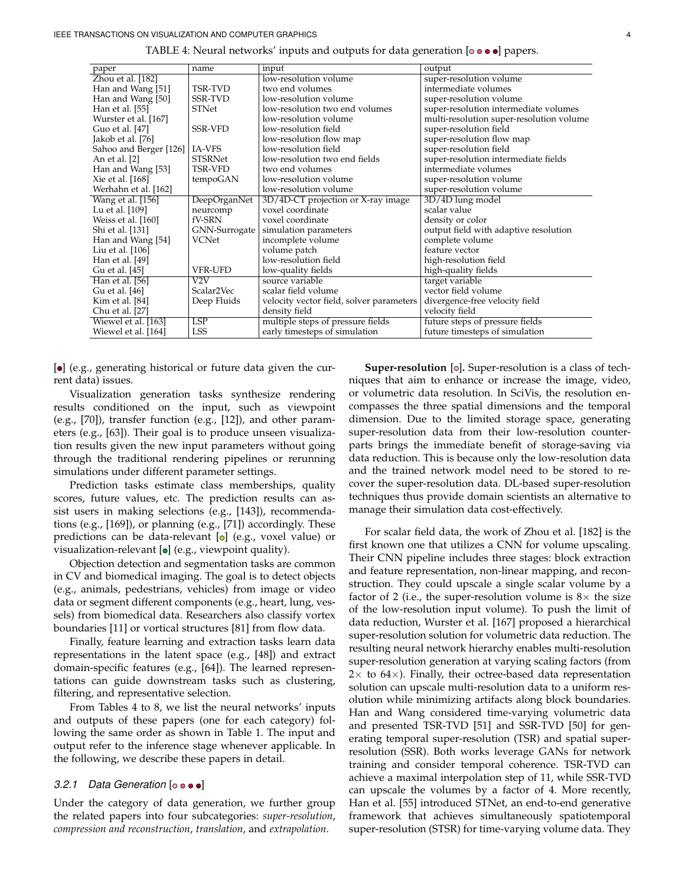<span id="page-3-0"></span>

| paper                  | name           | input                                    | output                                   |
|------------------------|----------------|------------------------------------------|------------------------------------------|
| Zhou et al. [182]      |                | low-resolution volume                    | super-resolution volume                  |
| Han and Wang [51]      | TSR-TVD        | two end volumes                          | intermediate volumes                     |
| Han and Wang [50]      | <b>SSR-TVD</b> | low-resolution volume                    | super-resolution volume                  |
| Han et al. [55]        | STNet          | low-resolution two end volumes           | super-resolution intermediate volumes    |
| Wurster et al. [167]   |                | low-resolution volume                    | multi-resolution super-resolution volume |
| Guo et al. [47]        | <b>SSR-VFD</b> | low-resolution field                     | super-resolution field                   |
| Jakob et al. [76]      |                | low-resolution flow map                  | super-resolution flow map                |
| Sahoo and Berger [126] | IA-VFS         | low-resolution field                     | super-resolution field                   |
| An et al. [2]          | <b>STSRNet</b> | low-resolution two end fields            | super-resolution intermediate fields     |
| Han and Wang [53]      | <b>TSR-VFD</b> | two end volumes                          | intermediate volumes                     |
| Xie et al. [168]       | tempoGAN       | low-resolution volume                    | super-resolution volume                  |
| Werhahn et al. [162]   |                | low-resolution volume                    | super-resolution volume                  |
| Wang et al. [156]      | DeepOrganNet   | 3D/4D-CT projection or X-ray image       | 3D/4D lung model                         |
| Lu et al. [109]        | neurcomp       | voxel coordinate                         | scalar value                             |
| Weiss et al. [160]     | fV-SRN         | voxel coordinate                         | density or color                         |
| Shi et al. [131]       | GNN-Surrogate  | simulation parameters                    | output field with adaptive resolution    |
| Han and Wang [54]      | VCNet          | incomplete volume                        | complete volume                          |
| Liu et al. [106]       |                | volume patch                             | feature vector                           |
| Han et al. [49]        |                | low-resolution field                     | high-resolution field                    |
| Gu et al. [45]         | <b>VFR-UFD</b> | low-quality fields                       | high-quality fields                      |
| Han et al. [56]        | V2V            | source variable                          | target variable                          |
| Gu et al. [46]         | Scalar2Vec     | scalar field volume                      | vector field volume                      |
| Kim et al. [84]        | Deep Fluids    | velocity vector field, solver parameters | divergence-free velocity field           |
| Chu et al. [27]        |                | density field                            | velocity field                           |
| Wiewel et al. [163]    | <b>LSP</b>     | multiple steps of pressure fields        | future steps of pressure fields          |
| Wiewel et al. [164]    | LSS            | early timesteps of simulation            | future timesteps of simulation           |

TABLE 4: Neural networks' inputs and outputs for data generation  $\lbrack \circ \bullet \bullet \bullet \rbrack$  papers.

[ $\bullet$ ] (e.g., generating historical or future data given the current data) issues.

Visualization generation tasks synthesize rendering results conditioned on the input, such as viewpoint (e.g., [\[70\]](#page-17-10)), transfer function (e.g., [\[12\]](#page-15-3)), and other parameters (e.g., [\[63\]](#page-16-14)). Their goal is to produce unseen visualization results given the new input parameters without going through the traditional rendering pipelines or rerunning simulations under different parameter settings.

Prediction tasks estimate class memberships, quality scores, future values, etc. The prediction results can assist users in making selections (e.g., [\[143\]](#page-18-10)), recommendations (e.g., [\[169\]](#page-19-12)), or planning (e.g., [\[71\]](#page-17-11)) accordingly. These predictions can be data-relevant  $[{\circ}]$  (e.g., voxel value) or visualization-relevant  $[{\bullet}]$  (e.g., viewpoint quality).

Objection detection and segmentation tasks are common in CV and biomedical imaging. The goal is to detect objects (e.g., animals, pedestrians, vehicles) from image or video data or segment different components (e.g., heart, lung, vessels) from biomedical data. Researchers also classify vortex boundaries [\[11\]](#page-15-4) or vortical structures [\[81\]](#page-17-13) from flow data.

Finally, feature learning and extraction tasks learn data representations in the latent space (e.g., [\[48\]](#page-16-23)) and extract domain-specific features (e.g., [\[64\]](#page-16-22)). The learned representations can guide downstream tasks such as clustering, filtering, and representative selection.

From Tables [4](#page-3-0) to [8,](#page-7-0) we list the neural networks' inputs and outputs of these papers (one for each category) following the same order as shown in Table [1.](#page-1-0) The input and output refer to the inference stage whenever applicable. In the following, we describe these papers in detail.

#### *3.2.1 Data Generation* [ $\circ \bullet \bullet$ ]

Under the category of data generation, we further group the related papers into four subcategories: *super-resolution*, *compression and reconstruction*, *translation*, and *extrapolation*.

**Super-resolution** [o]. Super-resolution is a class of techniques that aim to enhance or increase the image, video, or volumetric data resolution. In SciVis, the resolution encompasses the three spatial dimensions and the temporal dimension. Due to the limited storage space, generating super-resolution data from their low-resolution counterparts brings the immediate benefit of storage-saving via data reduction. This is because only the low-resolution data and the trained network model need to be stored to recover the super-resolution data. DL-based super-resolution techniques thus provide domain scientists an alternative to manage their simulation data cost-effectively.

For scalar field data, the work of Zhou et al. [\[182\]](#page-19-3) is the first known one that utilizes a CNN for volume upscaling. Their CNN pipeline includes three stages: block extraction and feature representation, non-linear mapping, and reconstruction. They could upscale a single scalar volume by a factor of 2 (i.e., the super-resolution volume is  $8\times$  the size of the low-resolution input volume). To push the limit of data reduction, Wurster et al. [\[167\]](#page-19-4) proposed a hierarchical super-resolution solution for volumetric data reduction. The resulting neural network hierarchy enables multi-resolution super-resolution generation at varying scaling factors (from  $2\times$  to 64 $\times$ ). Finally, their octree-based data representation solution can upscale multi-resolution data to a uniform resolution while minimizing artifacts along block boundaries. Han and Wang considered time-varying volumetric data and presented TSR-TVD [\[51\]](#page-16-5) and SSR-TVD [\[50\]](#page-16-6) for generating temporal super-resolution (TSR) and spatial superresolution (SSR). Both works leverage GANs for network training and consider temporal coherence. TSR-TVD can achieve a maximal interpolation step of 11, while SSR-TVD can upscale the volumes by a factor of 4. More recently, Han et al. [\[55\]](#page-16-4) introduced STNet, an end-to-end generative framework that achieves simultaneously spatiotemporal super-resolution (STSR) for time-varying volume data. They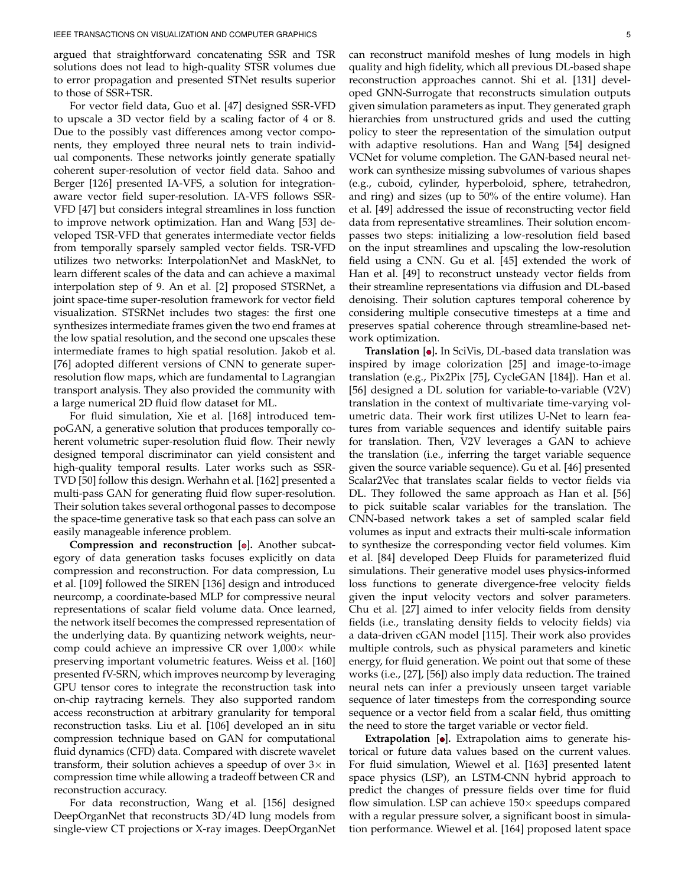argued that straightforward concatenating SSR and TSR solutions does not lead to high-quality STSR volumes due to error propagation and presented STNet results superior to those of SSR+TSR.

For vector field data, Guo et al. [\[47\]](#page-16-7) designed SSR-VFD to upscale a 3D vector field by a scaling factor of 4 or 8. Due to the possibly vast differences among vector components, they employed three neural nets to train individual components. These networks jointly generate spatially coherent super-resolution of vector field data. Sahoo and Berger [\[126\]](#page-18-7) presented IA-VFS, a solution for integrationaware vector field super-resolution. IA-VFS follows SSR-VFD [\[47\]](#page-16-7) but considers integral streamlines in loss function to improve network optimization. Han and Wang [\[53\]](#page-16-8) developed TSR-VFD that generates intermediate vector fields from temporally sparsely sampled vector fields. TSR-VFD utilizes two networks: InterpolationNet and MaskNet, to learn different scales of the data and can achieve a maximal interpolation step of 9. An et al. [\[2\]](#page-15-2) proposed STSRNet, a joint space-time super-resolution framework for vector field visualization. STSRNet includes two stages: the first one synthesizes intermediate frames given the two end frames at the low spatial resolution, and the second one upscales these intermediate frames to high spatial resolution. Jakob et al. [\[76\]](#page-17-7) adopted different versions of CNN to generate superresolution flow maps, which are fundamental to Lagrangian transport analysis. They also provided the community with a large numerical 2D fluid flow dataset for ML.

For fluid simulation, Xie et al. [\[168\]](#page-19-2) introduced tempoGAN, a generative solution that produces temporally coherent volumetric super-resolution fluid flow. Their newly designed temporal discriminator can yield consistent and high-quality temporal results. Later works such as SSR-TVD [\[50\]](#page-16-6) follow this design. Werhahn et al. [\[162\]](#page-19-5) presented a multi-pass GAN for generating fluid flow super-resolution. Their solution takes several orthogonal passes to decompose the space-time generative task so that each pass can solve an easily manageable inference problem.

**Compression and reconstruction [o].** Another subcategory of data generation tasks focuses explicitly on data compression and reconstruction. For data compression, Lu et al. [\[109\]](#page-17-6) followed the SIREN [\[136\]](#page-18-29) design and introduced neurcomp, a coordinate-based MLP for compressive neural representations of scalar field volume data. Once learned, the network itself becomes the compressed representation of the underlying data. By quantizing network weights, neurcomp could achieve an impressive CR over  $1,000\times$  while preserving important volumetric features. Weiss et al. [\[160\]](#page-19-6) presented fV-SRN, which improves neurcomp by leveraging GPU tensor cores to integrate the reconstruction task into on-chip raytracing kernels. They also supported random access reconstruction at arbitrary granularity for temporal reconstruction tasks. Liu et al. [\[106\]](#page-17-8) developed an in situ compression technique based on GAN for computational fluid dynamics (CFD) data. Compared with discrete wavelet transform, their solution achieves a speedup of over  $3\times$  in compression time while allowing a tradeoff between CR and reconstruction accuracy.

For data reconstruction, Wang et al. [\[156\]](#page-18-8) designed DeepOrganNet that reconstructs 3D/4D lung models from single-view CT projections or X-ray images. DeepOrganNet can reconstruct manifold meshes of lung models in high quality and high fidelity, which all previous DL-based shape reconstruction approaches cannot. Shi et al. [\[131\]](#page-18-9) developed GNN-Surrogate that reconstructs simulation outputs given simulation parameters as input. They generated graph hierarchies from unstructured grids and used the cutting policy to steer the representation of the simulation output with adaptive resolutions. Han and Wang [\[54\]](#page-16-9) designed VCNet for volume completion. The GAN-based neural network can synthesize missing subvolumes of various shapes (e.g., cuboid, cylinder, hyperboloid, sphere, tetrahedron, and ring) and sizes (up to 50% of the entire volume). Han et al. [\[49\]](#page-16-10) addressed the issue of reconstructing vector field data from representative streamlines. Their solution encompasses two steps: initializing a low-resolution field based on the input streamlines and upscaling the low-resolution field using a CNN. Gu et al. [\[45\]](#page-16-3) extended the work of Han et al. [\[49\]](#page-16-10) to reconstruct unsteady vector fields from their streamline representations via diffusion and DL-based denoising. Their solution captures temporal coherence by considering multiple consecutive timesteps at a time and preserves spatial coherence through streamline-based network optimization.

**Translation**  $[•]$ . In SciVis, DL-based data translation was inspired by image colorization [\[25\]](#page-16-30) and image-to-image translation (e.g., Pix2Pix [\[75\]](#page-17-26), CycleGAN [\[184\]](#page-19-16)). Han et al. [\[56\]](#page-16-11) designed a DL solution for variable-to-variable (V2V) translation in the context of multivariate time-varying volumetric data. Their work first utilizes U-Net to learn features from variable sequences and identify suitable pairs for translation. Then, V2V leverages a GAN to achieve the translation (i.e., inferring the target variable sequence given the source variable sequence). Gu et al. [\[46\]](#page-16-12) presented Scalar2Vec that translates scalar fields to vector fields via DL. They followed the same approach as Han et al. [\[56\]](#page-16-11) to pick suitable scalar variables for the translation. The CNN-based network takes a set of sampled scalar field volumes as input and extracts their multi-scale information to synthesize the corresponding vector field volumes. Kim et al. [\[84\]](#page-17-9) developed Deep Fluids for parameterized fluid simulations. Their generative model uses physics-informed loss functions to generate divergence-free velocity fields given the input velocity vectors and solver parameters. Chu et al. [\[27\]](#page-16-13) aimed to infer velocity fields from density fields (i.e., translating density fields to velocity fields) via a data-driven cGAN model [\[115\]](#page-18-19). Their work also provides multiple controls, such as physical parameters and kinetic energy, for fluid generation. We point out that some of these works (i.e., [\[27\]](#page-16-13), [\[56\]](#page-16-11)) also imply data reduction. The trained neural nets can infer a previously unseen target variable sequence of later timesteps from the corresponding source sequence or a vector field from a scalar field, thus omitting the need to store the target variable or vector field.

**Extrapolation** [o]. Extrapolation aims to generate historical or future data values based on the current values. For fluid simulation, Wiewel et al. [\[163\]](#page-19-7) presented latent space physics (LSP), an LSTM-CNN hybrid approach to predict the changes of pressure fields over time for fluid flow simulation. LSP can achieve  $150\times$  speedups compared with a regular pressure solver, a significant boost in simulation performance. Wiewel et al. [\[164\]](#page-19-8) proposed latent space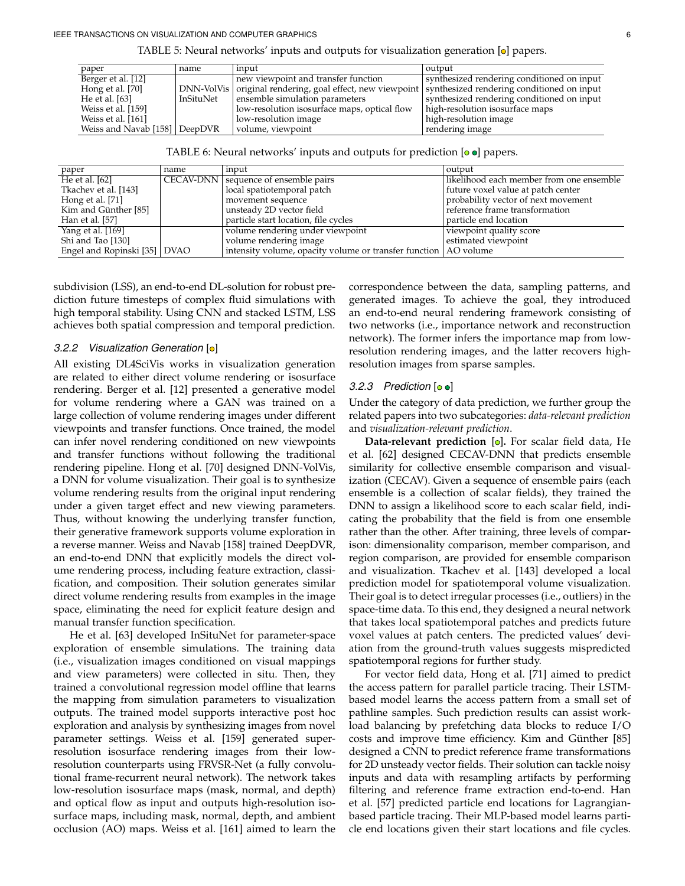| paper                         | name      | input                                                                                                    | output                                     |
|-------------------------------|-----------|----------------------------------------------------------------------------------------------------------|--------------------------------------------|
| Berger et al. [12]            |           | new viewpoint and transfer function                                                                      | synthesized rendering conditioned on input |
| Hong et al. [70]              |           | DNN-VolVis   original rendering, goal effect, new viewpoint   synthesized rendering conditioned on input |                                            |
| He et al. [63]                | InSituNet | ensemble simulation parameters                                                                           | synthesized rendering conditioned on input |
| Weiss et al. [159]            |           | low-resolution isosurface maps, optical flow                                                             | high-resolution isosurface maps            |
| Weiss et al. [161]            |           | low-resolution image                                                                                     | high-resolution image                      |
| Weiss and Navab [158] DeepDVR |           | volume, viewpoint                                                                                        | rendering image                            |

TABLE 5: Neural networks' inputs and outputs for visualization generation  $\omega$  papers.

| TABLE 6: Neural networks' inputs and outputs for prediction $[ \circ \bullet ]$ papers. |  |  |  |  |  |
|-----------------------------------------------------------------------------------------|--|--|--|--|--|
|-----------------------------------------------------------------------------------------|--|--|--|--|--|

| paper                        | name | input                                                             | output                                   |
|------------------------------|------|-------------------------------------------------------------------|------------------------------------------|
| He et al. $[62]$             |      | CECAV-DNN   sequence of ensemble pairs                            | likelihood each member from one ensemble |
| Tkachev et al. [143]         |      | local spatiotemporal patch                                        | future voxel value at patch center       |
| Hong et al. $[71]$           |      | movement sequence                                                 | probability vector of next movement      |
| Kim and Günther [85]         |      | unsteady 2D vector field                                          | reference frame transformation           |
| Han et al. [57]              |      | particle start location, file cycles                              | particle end location                    |
| Yang et al. [169]            |      | volume rendering under viewpoint                                  | viewpoint quality score                  |
| Shi and Tao [130]            |      | volume rendering image                                            | estimated viewpoint                      |
| Engel and Ropinski [35] DVAO |      | intensity volume, opacity volume or transfer function   AO volume |                                          |

subdivision (LSS), an end-to-end DL-solution for robust prediction future timesteps of complex fluid simulations with high temporal stability. Using CNN and stacked LSTM, LSS achieves both spatial compression and temporal prediction.

#### *3.2.2 Visualization Generation* [o]

All existing DL4SciVis works in visualization generation are related to either direct volume rendering or isosurface rendering. Berger et al. [\[12\]](#page-15-3) presented a generative model for volume rendering where a GAN was trained on a large collection of volume rendering images under different viewpoints and transfer functions. Once trained, the model can infer novel rendering conditioned on new viewpoints and transfer functions without following the traditional rendering pipeline. Hong et al. [\[70\]](#page-17-10) designed DNN-VolVis, a DNN for volume visualization. Their goal is to synthesize volume rendering results from the original input rendering under a given target effect and new viewing parameters. Thus, without knowing the underlying transfer function, their generative framework supports volume exploration in a reverse manner. Weiss and Navab [\[158\]](#page-19-11) trained DeepDVR, an end-to-end DNN that explicitly models the direct volume rendering process, including feature extraction, classification, and composition. Their solution generates similar direct volume rendering results from examples in the image space, eliminating the need for explicit feature design and manual transfer function specification.

He et al. [\[63\]](#page-16-14) developed InSituNet for parameter-space exploration of ensemble simulations. The training data (i.e., visualization images conditioned on visual mappings and view parameters) were collected in situ. Then, they trained a convolutional regression model offline that learns the mapping from simulation parameters to visualization outputs. The trained model supports interactive post hoc exploration and analysis by synthesizing images from novel parameter settings. Weiss et al. [\[159\]](#page-19-9) generated superresolution isosurface rendering images from their lowresolution counterparts using FRVSR-Net (a fully convolutional frame-recurrent neural network). The network takes low-resolution isosurface maps (mask, normal, and depth) and optical flow as input and outputs high-resolution isosurface maps, including mask, normal, depth, and ambient occlusion (AO) maps. Weiss et al. [\[161\]](#page-19-10) aimed to learn the

correspondence between the data, sampling patterns, and generated images. To achieve the goal, they introduced an end-to-end neural rendering framework consisting of two networks (i.e., importance network and reconstruction network). The former infers the importance map from lowresolution rendering images, and the latter recovers highresolution images from sparse samples.

# 3.2.3 Prediction  $[ \circ \bullet ]$

Under the category of data prediction, we further group the related papers into two subcategories: *data-relevant prediction* and *visualization-relevant prediction*.

**Data-relevant prediction** [o]. For scalar field data, He et al. [\[62\]](#page-16-15) designed CECAV-DNN that predicts ensemble similarity for collective ensemble comparison and visualization (CECAV). Given a sequence of ensemble pairs (each ensemble is a collection of scalar fields), they trained the DNN to assign a likelihood score to each scalar field, indicating the probability that the field is from one ensemble rather than the other. After training, three levels of comparison: dimensionality comparison, member comparison, and region comparison, are provided for ensemble comparison and visualization. Tkachev et al. [\[143\]](#page-18-10) developed a local prediction model for spatiotemporal volume visualization. Their goal is to detect irregular processes (i.e., outliers) in the space-time data. To this end, they designed a neural network that takes local spatiotemporal patches and predicts future voxel values at patch centers. The predicted values' deviation from the ground-truth values suggests mispredicted spatiotemporal regions for further study.

For vector field data, Hong et al. [\[71\]](#page-17-11) aimed to predict the access pattern for parallel particle tracing. Their LSTMbased model learns the access pattern from a small set of pathline samples. Such prediction results can assist workload balancing by prefetching data blocks to reduce I/O costs and improve time efficiency. Kim and Günther [\[85\]](#page-17-12) designed a CNN to predict reference frame transformations for 2D unsteady vector fields. Their solution can tackle noisy inputs and data with resampling artifacts by performing filtering and reference frame extraction end-to-end. Han et al. [\[57\]](#page-16-16) predicted particle end locations for Lagrangianbased particle tracing. Their MLP-based model learns particle end locations given their start locations and file cycles.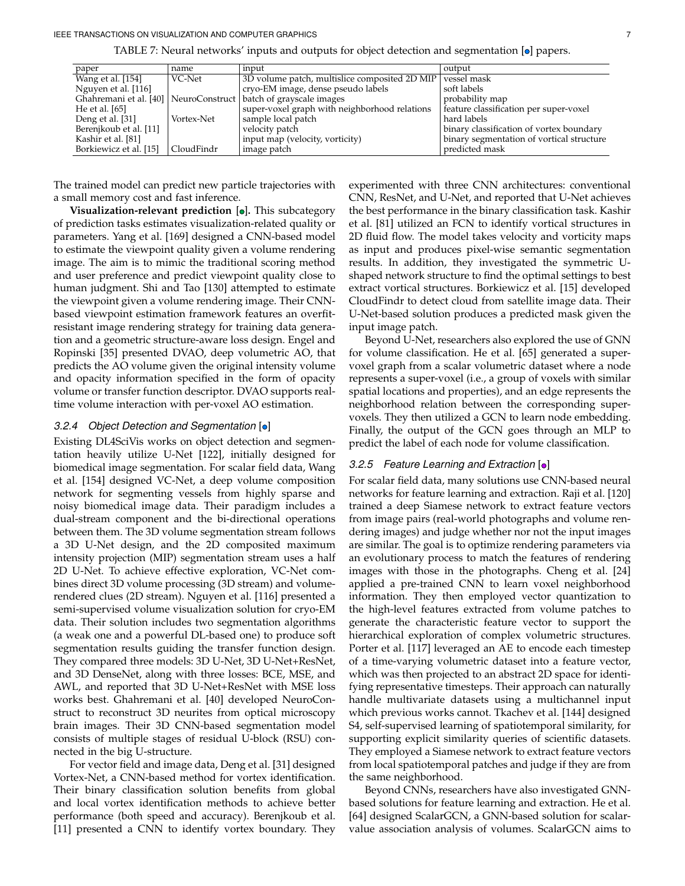| paper                  | name       | input                                                               | output                                    |
|------------------------|------------|---------------------------------------------------------------------|-------------------------------------------|
| Wang et al. [154]      | VC-Net     | 3D volume patch, multislice composited 2D MIP                       | vessel mask                               |
| Nguyen et al. [116]    |            | cryo-EM image, dense pseudo labels                                  | soft labels                               |
|                        |            | Ghahremani et al. [40]   NeuroConstruct   batch of grayscale images | probability map                           |
| He et al. $[65]$       |            | super-voxel graph with neighborhood relations                       | feature classification per super-voxel    |
| Deng et al. $[31]$     | Vortex-Net | sample local patch                                                  | hard labels                               |
| Berenjkoub et al. [11] |            | velocity patch                                                      | binary classification of vortex boundary  |
| Kashir et al. [81]     |            | input map (velocity, vorticity)                                     | binary segmentation of vortical structure |
| Borkiewicz et al. [15] | CloudFindr | image patch                                                         | predicted mask                            |

TABLE 7: Neural networks' inputs and outputs for object detection and segmentation [o] papers.

The trained model can predict new particle trajectories with a small memory cost and fast inference.

**Visualization-relevant prediction [o].** This subcategory of prediction tasks estimates visualization-related quality or parameters. Yang et al. [\[169\]](#page-19-12) designed a CNN-based model to estimate the viewpoint quality given a volume rendering image. The aim is to mimic the traditional scoring method and user preference and predict viewpoint quality close to human judgment. Shi and Tao [\[130\]](#page-18-11) attempted to estimate the viewpoint given a volume rendering image. Their CNNbased viewpoint estimation framework features an overfitresistant image rendering strategy for training data generation and a geometric structure-aware loss design. Engel and Ropinski [\[35\]](#page-16-17) presented DVAO, deep volumetric AO, that predicts the AO volume given the original intensity volume and opacity information specified in the form of opacity volume or transfer function descriptor. DVAO supports realtime volume interaction with per-voxel AO estimation.

# 3.2.4 Object Detection and Segmentation [o]

Existing DL4SciVis works on object detection and segmentation heavily utilize U-Net [\[122\]](#page-18-4), initially designed for biomedical image segmentation. For scalar field data, Wang et al. [\[154\]](#page-18-6) designed VC-Net, a deep volume composition network for segmenting vessels from highly sparse and noisy biomedical image data. Their paradigm includes a dual-stream component and the bi-directional operations between them. The 3D volume segmentation stream follows a 3D U-Net design, and the 2D composited maximum intensity projection (MIP) segmentation stream uses a half 2D U-Net. To achieve effective exploration, VC-Net combines direct 3D volume processing (3D stream) and volumerendered clues (2D stream). Nguyen et al. [\[116\]](#page-18-12) presented a semi-supervised volume visualization solution for cryo-EM data. Their solution includes two segmentation algorithms (a weak one and a powerful DL-based one) to produce soft segmentation results guiding the transfer function design. They compared three models: 3D U-Net, 3D U-Net+ResNet, and 3D DenseNet, along with three losses: BCE, MSE, and AWL, and reported that 3D U-Net+ResNet with MSE loss works best. Ghahremani et al. [\[40\]](#page-16-18) developed NeuroConstruct to reconstruct 3D neurites from optical microscopy brain images. Their 3D CNN-based segmentation model consists of multiple stages of residual U-block (RSU) connected in the big U-structure.

For vector field and image data, Deng et al. [\[31\]](#page-16-20) designed Vortex-Net, a CNN-based method for vortex identification. Their binary classification solution benefits from global and local vortex identification methods to achieve better performance (both speed and accuracy). Berenjkoub et al. [\[11\]](#page-15-4) presented a CNN to identify vortex boundary. They

experimented with three CNN architectures: conventional CNN, ResNet, and U-Net, and reported that U-Net achieves the best performance in the binary classification task. Kashir et al. [\[81\]](#page-17-13) utilized an FCN to identify vortical structures in 2D fluid flow. The model takes velocity and vorticity maps as input and produces pixel-wise semantic segmentation results. In addition, they investigated the symmetric Ushaped network structure to find the optimal settings to best extract vortical structures. Borkiewicz et al. [\[15\]](#page-15-5) developed CloudFindr to detect cloud from satellite image data. Their U-Net-based solution produces a predicted mask given the input image patch.

Beyond U-Net, researchers also explored the use of GNN for volume classification. He et al. [\[65\]](#page-16-19) generated a supervoxel graph from a scalar volumetric dataset where a node represents a super-voxel (i.e., a group of voxels with similar spatial locations and properties), and an edge represents the neighborhood relation between the corresponding supervoxels. They then utilized a GCN to learn node embedding. Finally, the output of the GCN goes through an MLP to predict the label of each node for volume classification.

#### *3.2.5 Feature Learning and Extraction* [ $\bullet$ ]

For scalar field data, many solutions use CNN-based neural networks for feature learning and extraction. Raji et al. [\[120\]](#page-18-13) trained a deep Siamese network to extract feature vectors from image pairs (real-world photographs and volume rendering images) and judge whether nor not the input images are similar. The goal is to optimize rendering parameters via an evolutionary process to match the features of rendering images with those in the photographs. Cheng et al. [\[24\]](#page-16-21) applied a pre-trained CNN to learn voxel neighborhood information. They then employed vector quantization to the high-level features extracted from volume patches to generate the characteristic feature vector to support the hierarchical exploration of complex volumetric structures. Porter et al. [\[117\]](#page-18-14) leveraged an AE to encode each timestep of a time-varying volumetric dataset into a feature vector, which was then projected to an abstract 2D space for identifying representative timesteps. Their approach can naturally handle multivariate datasets using a multichannel input which previous works cannot. Tkachev et al. [\[144\]](#page-18-15) designed S4, self-supervised learning of spatiotemporal similarity, for supporting explicit similarity queries of scientific datasets. They employed a Siamese network to extract feature vectors from local spatiotemporal patches and judge if they are from the same neighborhood.

Beyond CNNs, researchers have also investigated GNNbased solutions for feature learning and extraction. He et al. [\[64\]](#page-16-22) designed ScalarGCN, a GNN-based solution for scalarvalue association analysis of volumes. ScalarGCN aims to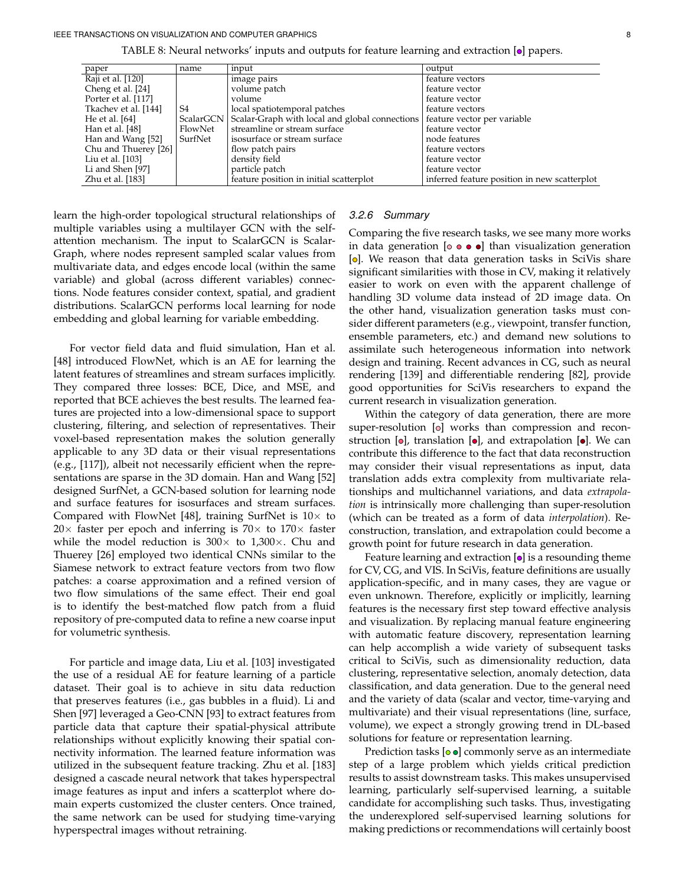| TABLE 8: Neural networks' inputs and outputs for feature learning and extraction [.] papers |  |  |  |  |  |  |  |  |
|---------------------------------------------------------------------------------------------|--|--|--|--|--|--|--|--|
|---------------------------------------------------------------------------------------------|--|--|--|--|--|--|--|--|

<span id="page-7-0"></span>

| paper                | name      | input                                          | output                                       |
|----------------------|-----------|------------------------------------------------|----------------------------------------------|
| Raji et al. [120]    |           | image pairs                                    | feature vectors                              |
| Cheng et al. [24]    |           | volume patch                                   | feature vector                               |
| Porter et al. [117]  |           | volume                                         | feature vector                               |
| Tkachev et al. [144] | S4        | local spatiotemporal patches                   | feature vectors                              |
| He et al. $[64]$     | ScalarGCN | Scalar-Graph with local and global connections | feature vector per variable                  |
| Han et al. [48]      | FlowNet   | streamline or stream surface                   | feature vector                               |
| Han and Wang [52]    | SurfNet   | isosurface or stream surface                   | node features                                |
| Chu and Thuerey [26] |           | flow patch pairs                               | feature vectors                              |
| Liu et al. $[103]$   |           | density field                                  | feature vector                               |
| Li and Shen [97]     |           | particle patch                                 | feature vector                               |
| Zhu et al. [183]     |           | feature position in initial scatterplot        | inferred feature position in new scatterplot |

learn the high-order topological structural relationships of multiple variables using a multilayer GCN with the selfattention mechanism. The input to ScalarGCN is Scalar-Graph, where nodes represent sampled scalar values from multivariate data, and edges encode local (within the same variable) and global (across different variables) connections. Node features consider context, spatial, and gradient distributions. ScalarGCN performs local learning for node embedding and global learning for variable embedding.

For vector field data and fluid simulation, Han et al. [\[48\]](#page-16-23) introduced FlowNet, which is an AE for learning the latent features of streamlines and stream surfaces implicitly. They compared three losses: BCE, Dice, and MSE, and reported that BCE achieves the best results. The learned features are projected into a low-dimensional space to support clustering, filtering, and selection of representatives. Their voxel-based representation makes the solution generally applicable to any 3D data or their visual representations (e.g., [\[117\]](#page-18-14)), albeit not necessarily efficient when the representations are sparse in the 3D domain. Han and Wang [\[52\]](#page-16-24) designed SurfNet, a GCN-based solution for learning node and surface features for isosurfaces and stream surfaces. Compared with FlowNet [\[48\]](#page-16-23), training SurfNet is  $10\times$  to 20 $\times$  faster per epoch and inferring is 70 $\times$  to 170 $\times$  faster while the model reduction is  $300 \times$  to  $1,300 \times$ . Chu and Thuerey [\[26\]](#page-16-25) employed two identical CNNs similar to the Siamese network to extract feature vectors from two flow patches: a coarse approximation and a refined version of two flow simulations of the same effect. Their end goal is to identify the best-matched flow patch from a fluid repository of pre-computed data to refine a new coarse input for volumetric synthesis.

For particle and image data, Liu et al. [\[103\]](#page-17-14) investigated the use of a residual AE for feature learning of a particle dataset. Their goal is to achieve in situ data reduction that preserves features (i.e., gas bubbles in a fluid). Li and Shen [\[97\]](#page-17-15) leveraged a Geo-CNN [\[93\]](#page-17-19) to extract features from particle data that capture their spatial-physical attribute relationships without explicitly knowing their spatial connectivity information. The learned feature information was utilized in the subsequent feature tracking. Zhu et al. [\[183\]](#page-19-13) designed a cascade neural network that takes hyperspectral image features as input and infers a scatterplot where domain experts customized the cluster centers. Once trained, the same network can be used for studying time-varying hyperspectral images without retraining.

## *3.2.6 Summary*

Comparing the five research tasks, we see many more works in data generation [ $\circ \bullet \bullet \bullet$ ] than visualization generation  $[**o**]$ . We reason that data generation tasks in SciVis share significant similarities with those in CV, making it relatively easier to work on even with the apparent challenge of handling 3D volume data instead of 2D image data. On the other hand, visualization generation tasks must consider different parameters (e.g., viewpoint, transfer function, ensemble parameters, etc.) and demand new solutions to assimilate such heterogeneous information into network design and training. Recent advances in CG, such as neural rendering [\[139\]](#page-18-30) and differentiable rendering [\[82\]](#page-17-27), provide good opportunities for SciVis researchers to expand the current research in visualization generation.

Within the category of data generation, there are more super-resolution  $[0]$  works than compression and reconstruction  $[**o**]$ , translation  $[**o**]$ , and extrapolation  $[**o**]$ . We can contribute this difference to the fact that data reconstruction may consider their visual representations as input, data translation adds extra complexity from multivariate relationships and multichannel variations, and data *extrapolation* is intrinsically more challenging than super-resolution (which can be treated as a form of data *interpolation*). Reconstruction, translation, and extrapolation could become a growth point for future research in data generation.

Feature learning and extraction  $\lceil \bullet \rceil$  is a resounding theme for CV, CG, and VIS. In SciVis, feature definitions are usually application-specific, and in many cases, they are vague or even unknown. Therefore, explicitly or implicitly, learning features is the necessary first step toward effective analysis and visualization. By replacing manual feature engineering with automatic feature discovery, representation learning can help accomplish a wide variety of subsequent tasks critical to SciVis, such as dimensionality reduction, data clustering, representative selection, anomaly detection, data classification, and data generation. Due to the general need and the variety of data (scalar and vector, time-varying and multivariate) and their visual representations (line, surface, volume), we expect a strongly growing trend in DL-based solutions for feature or representation learning.

Prediction tasks  $[**o**$   **commonly serve as an intermediate** step of a large problem which yields critical prediction results to assist downstream tasks. This makes unsupervised learning, particularly self-supervised learning, a suitable candidate for accomplishing such tasks. Thus, investigating the underexplored self-supervised learning solutions for making predictions or recommendations will certainly boost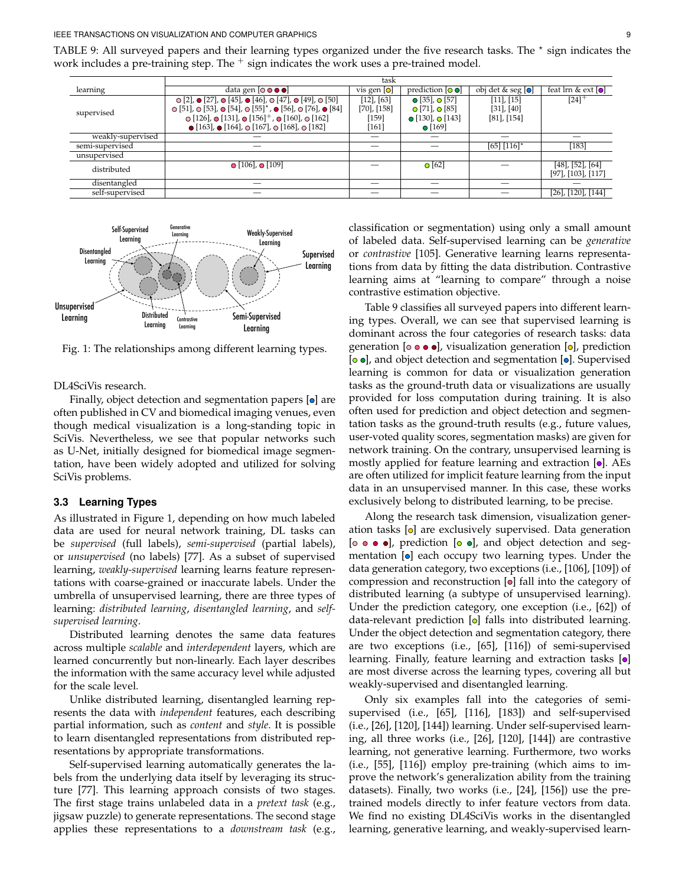#### IEEE TRANSACTIONS ON VISUALIZATION AND COMPUTER GRAPHICS 9

<span id="page-8-1"></span>TABLE 9: All surveyed papers and their learning types organized under the five research tasks. The  $*$  sign indicates the work includes a pre-training step. The  $^+$  sign indicates the work uses a pre-trained model.

|                   | task                                                                                                           |                  |                                  |                                             |                                        |  |
|-------------------|----------------------------------------------------------------------------------------------------------------|------------------|----------------------------------|---------------------------------------------|----------------------------------------|--|
| learning          | data gen $[ \circ \bullet \bullet \bullet]$                                                                    | vis gen $[o]$    | $prediction [o]$                 | $\overline{obj}$ det & seg $\overline{[0]}$ | feat lrn & ext $\lceil \bullet \rceil$ |  |
|                   | $\odot$ [2], $\odot$ [27], $\odot$ [45], $\odot$ [46], $\odot$ [47], $\odot$ [49], $\odot$ [50]                | $[12]$ , $[63]$  | $\bullet$ [35], $\bullet$ [57]   | $[11]$ , $[15]$                             | $[24]^{+}$                             |  |
|                   | $\odot$ [51], $\odot$ [53], $\odot$ [54], $\odot$ [55] <sup>*</sup> , $\odot$ [56], $\odot$ [76], $\odot$ [84] | $[70]$ , $[158]$ | $\bigcirc$ [71], $\bigcirc$ [85] | $[31]$ , $[40]$                             |                                        |  |
| supervised        | $\odot$ [126], $\odot$ [131], $\odot$ [156] <sup>+</sup> , $\odot$ [160], $\odot$ [162]                        | [159]            | $\bullet$ [130], $\bullet$ [143] | $[81]$ , $[154]$                            |                                        |  |
|                   | $\bullet$ [163], $\bullet$ [164], $\circ$ [167], $\circ$ [168], $\circ$ [182]                                  | $[161]$          | $\bullet$ [169]                  |                                             |                                        |  |
| weakly-supervised |                                                                                                                |                  |                                  |                                             |                                        |  |
| semi-supervised   |                                                                                                                |                  |                                  | $[65] [116]$ <sup>*</sup>                   | $[183]$                                |  |
| unsupervised      |                                                                                                                |                  |                                  |                                             |                                        |  |
| distributed       | $\bullet$ [106], $\bullet$ [109]                                                                               |                  | $\bigcirc$ [62]                  |                                             | $[48]$ , [52], [64]                    |  |
|                   |                                                                                                                |                  |                                  |                                             | $[97]$ , $[103]$ , $[117]$             |  |
| disentangled      |                                                                                                                |                  |                                  |                                             |                                        |  |
| self-supervised   |                                                                                                                |                  |                                  |                                             | $[26]$ , $[120]$ , $[144]$             |  |
|                   |                                                                                                                |                  |                                  |                                             |                                        |  |

<span id="page-8-0"></span>

Fig. 1: The relationships among different learning types.

DL4SciVis research.

Finally, object detection and segmentation papers  $[**o**]$  are often published in CV and biomedical imaging venues, even though medical visualization is a long-standing topic in SciVis. Nevertheless, we see that popular networks such as U-Net, initially designed for biomedical image segmentation, have been widely adopted and utilized for solving SciVis problems.

## **3.3 Learning Types**

As illustrated in Figure [1,](#page-8-0) depending on how much labeled data are used for neural network training, DL tasks can be *supervised* (full labels), *semi-supervised* (partial labels), or *unsupervised* (no labels) [\[77\]](#page-17-28). As a subset of supervised learning, *weakly-supervised* learning learns feature representations with coarse-grained or inaccurate labels. Under the umbrella of unsupervised learning, there are three types of learning: *distributed learning*, *disentangled learning*, and *selfsupervised learning*.

Distributed learning denotes the same data features across multiple *scalable* and *interdependent* layers, which are learned concurrently but non-linearly. Each layer describes the information with the same accuracy level while adjusted for the scale level.

Unlike distributed learning, disentangled learning represents the data with *independent* features, each describing partial information, such as *content* and *style*. It is possible to learn disentangled representations from distributed representations by appropriate transformations.

Self-supervised learning automatically generates the labels from the underlying data itself by leveraging its structure [\[77\]](#page-17-28). This learning approach consists of two stages. The first stage trains unlabeled data in a *pretext task* (e.g., jigsaw puzzle) to generate representations. The second stage applies these representations to a *downstream task* (e.g.,

classification or segmentation) using only a small amount of labeled data. Self-supervised learning can be *generative* or *contrastive* [\[105\]](#page-17-29). Generative learning learns representations from data by fitting the data distribution. Contrastive learning aims at "learning to compare" through a noise contrastive estimation objective.

Table [9](#page-8-1) classifies all surveyed papers into different learning types. Overall, we can see that supervised learning is dominant across the four categories of research tasks: data generation [ $\circ \bullet \bullet \bullet$ ], visualization generation [ $\circ$ ], prediction  $[**o**$ , and object detection and segmentation  $[**o**]$ . Supervised learning is common for data or visualization generation tasks as the ground-truth data or visualizations are usually provided for loss computation during training. It is also often used for prediction and object detection and segmentation tasks as the ground-truth results (e.g., future values, user-voted quality scores, segmentation masks) are given for network training. On the contrary, unsupervised learning is mostly applied for feature learning and extraction  $\lceil \bullet \rceil$ . AEs are often utilized for implicit feature learning from the input data in an unsupervised manner. In this case, these works exclusively belong to distributed learning, to be precise.

Along the research task dimension, visualization generation tasks  $[**o**]$  are exclusively supervised. Data generation  $[$   $\bullet$   $\bullet$   $\bullet$   $]$ , prediction  $[$  $\circ$   $\bullet$  $]$ , and object detection and segmentation  $[**o**]$  each occupy two learning types. Under the data generation category, two exceptions (i.e., [\[106\]](#page-17-8), [\[109\]](#page-17-6)) of compression and reconstruction  $[{\bullet}]$  fall into the category of distributed learning (a subtype of unsupervised learning). Under the prediction category, one exception (i.e., [\[62\]](#page-16-15)) of data-relevant prediction  $[**o**]$  falls into distributed learning. Under the object detection and segmentation category, there are two exceptions (i.e., [\[65\]](#page-16-19), [\[116\]](#page-18-12)) of semi-supervised learning. Finally, feature learning and extraction tasks  $[**o**]$ are most diverse across the learning types, covering all but weakly-supervised and disentangled learning.

Only six examples fall into the categories of semisupervised (i.e., [\[65\]](#page-16-19), [\[116\]](#page-18-12), [\[183\]](#page-19-13)) and self-supervised (i.e., [\[26\]](#page-16-25), [\[120\]](#page-18-13), [\[144\]](#page-18-15)) learning. Under self-supervised learning, all three works (i.e., [\[26\]](#page-16-25), [\[120\]](#page-18-13), [\[144\]](#page-18-15)) are contrastive learning, not generative learning. Furthermore, two works (i.e., [\[55\]](#page-16-4), [\[116\]](#page-18-12)) employ pre-training (which aims to improve the network's generalization ability from the training datasets). Finally, two works (i.e., [\[24\]](#page-16-21), [\[156\]](#page-18-8)) use the pretrained models directly to infer feature vectors from data. We find no existing DL4SciVis works in the disentangled learning, generative learning, and weakly-supervised learn-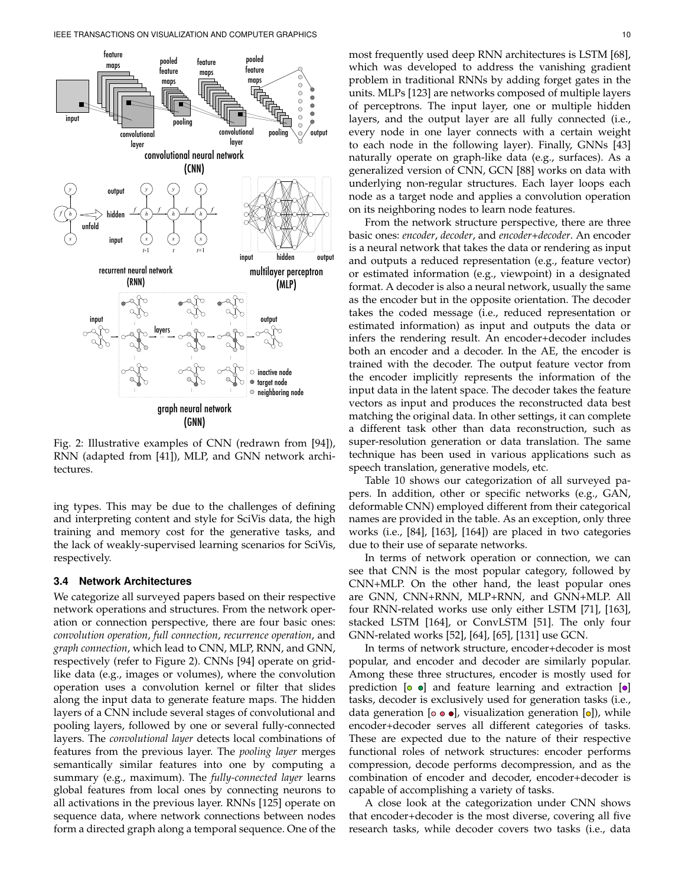<span id="page-9-1"></span>

Fig. 2: Illustrative examples of CNN (redrawn from [\[94\]](#page-17-16)), RNN (adapted from [\[41\]](#page-16-31)), MLP, and GNN network architectures.

ing types. This may be due to the challenges of defining and interpreting content and style for SciVis data, the high training and memory cost for the generative tasks, and the lack of weakly-supervised learning scenarios for SciVis, respectively.

#### <span id="page-9-0"></span>**3.4 Network Architectures**

We categorize all surveyed papers based on their respective network operations and structures. From the network operation or connection perspective, there are four basic ones: *convolution operation*, *full connection*, *recurrence operation*, and *graph connection*, which lead to CNN, MLP, RNN, and GNN, respectively (refer to Figure [2\)](#page-9-1). CNNs [\[94\]](#page-17-16) operate on gridlike data (e.g., images or volumes), where the convolution operation uses a convolution kernel or filter that slides along the input data to generate feature maps. The hidden layers of a CNN include several stages of convolutional and pooling layers, followed by one or several fully-connected layers. The *convolutional layer* detects local combinations of features from the previous layer. The *pooling layer* merges semantically similar features into one by computing a summary (e.g., maximum). The *fully-connected layer* learns global features from local ones by connecting neurons to all activations in the previous layer. RNNs [\[125\]](#page-18-23) operate on sequence data, where network connections between nodes form a directed graph along a temporal sequence. One of the

most frequently used deep RNN architectures is LSTM [\[68\]](#page-17-24), which was developed to address the vanishing gradient problem in traditional RNNs by adding forget gates in the units. MLPs [\[123\]](#page-18-22) are networks composed of multiple layers of perceptrons. The input layer, one or multiple hidden layers, and the output layer are all fully connected (i.e., every node in one layer connects with a certain weight to each node in the following layer). Finally, GNNs [\[43\]](#page-16-27) naturally operate on graph-like data (e.g., surfaces). As a generalized version of CNN, GCN [\[88\]](#page-17-22) works on data with underlying non-regular structures. Each layer loops each node as a target node and applies a convolution operation on its neighboring nodes to learn node features.

From the network structure perspective, there are three basic ones: *encoder*, *decoder*, and *encoder+decoder*. An encoder is a neural network that takes the data or rendering as input and outputs a reduced representation (e.g., feature vector) or estimated information (e.g., viewpoint) in a designated format. A decoder is also a neural network, usually the same as the encoder but in the opposite orientation. The decoder takes the coded message (i.e., reduced representation or estimated information) as input and outputs the data or infers the rendering result. An encoder+decoder includes both an encoder and a decoder. In the AE, the encoder is trained with the decoder. The output feature vector from the encoder implicitly represents the information of the input data in the latent space. The decoder takes the feature vectors as input and produces the reconstructed data best matching the original data. In other settings, it can complete a different task other than data reconstruction, such as super-resolution generation or data translation. The same technique has been used in various applications such as speech translation, generative models, etc.

Table [10](#page-10-0) shows our categorization of all surveyed papers. In addition, other or specific networks (e.g., GAN, deformable CNN) employed different from their categorical names are provided in the table. As an exception, only three works (i.e., [\[84\]](#page-17-9), [\[163\]](#page-19-7), [\[164\]](#page-19-8)) are placed in two categories due to their use of separate networks.

In terms of network operation or connection, we can see that CNN is the most popular category, followed by CNN+MLP. On the other hand, the least popular ones are GNN, CNN+RNN, MLP+RNN, and GNN+MLP. All four RNN-related works use only either LSTM [\[71\]](#page-17-11), [\[163\]](#page-19-7), stacked LSTM [\[164\]](#page-19-8), or ConvLSTM [\[51\]](#page-16-5). The only four GNN-related works [\[52\]](#page-16-24), [\[64\]](#page-16-22), [\[65\]](#page-16-19), [\[131\]](#page-18-9) use GCN.

In terms of network structure, encoder+decoder is most popular, and encoder and decoder are similarly popular. Among these three structures, encoder is mostly used for prediction  $[0 \bullet]$  and feature learning and extraction  $[0]$ tasks, decoder is exclusively used for generation tasks (i.e., data generation [ $\circ \bullet \bullet$ ], visualization generation [ $\circ$ ]), while encoder+decoder serves all different categories of tasks. These are expected due to the nature of their respective functional roles of network structures: encoder performs compression, decode performs decompression, and as the combination of encoder and decoder, encoder+decoder is capable of accomplishing a variety of tasks.

A close look at the categorization under CNN shows that encoder+decoder is the most diverse, covering all five research tasks, while decoder covers two tasks (i.e., data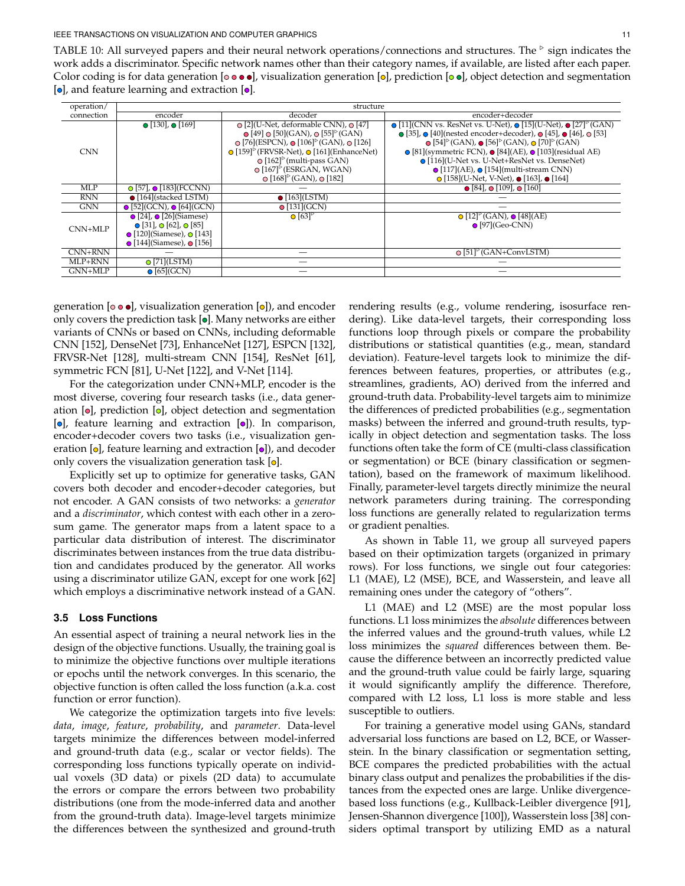<span id="page-10-0"></span>TABLE 10: All surveyed papers and their neural network operations/connections and structures. The  $\frac{1}{2}$  sign indicates the work adds a discriminator. Specific network names other than their category names, if available, are listed after each paper. Color coding is for data generation [ $\circ \bullet \bullet \bullet$ ], visualization generation [ $\circ$ ], prediction [ $\circ \bullet$ ], object detection and segmentation  $[ \circ ]$ , and feature learning and extraction  $[ \circ ]$ .

| operation/ | structure                                      |                                                                                              |                                                                                                                                     |  |  |  |
|------------|------------------------------------------------|----------------------------------------------------------------------------------------------|-------------------------------------------------------------------------------------------------------------------------------------|--|--|--|
| connection | encoder                                        | decoder                                                                                      | encoder+decoder                                                                                                                     |  |  |  |
|            | $\bullet$ [130], $\bullet$ [169]               | <b>○</b> [2] (U-Net, deformable CNN), • [47]                                                 | $\odot$ [11](CNN vs. ResNet vs. U-Net), $\odot$ [15](U-Net), $\odot$ [27] <sup><math>\odot</math></sup> (GAN)                       |  |  |  |
|            |                                                | $\odot$ [49] $\odot$ [50](GAN), $\odot$ [55] <sup><math>\circ</math></sup> (GAN)             | $\odot$ [35], $\odot$ [40](nested encoder+decoder), $\odot$ [45], $\odot$ [46], $\odot$ [53]                                        |  |  |  |
|            |                                                | $\odot$ [76](ESPCN), $\odot$ [106] <sup><math>\circ</math></sup> (GAN), $\odot$ [126]        | $\odot$ [54] <sup><math>\triangleright</math></sup> (GAN), $\odot$ [56] $\triangleright$ (GAN), $\odot$ [70] $\triangleright$ (GAN) |  |  |  |
| <b>CNN</b> |                                                | $\odot$ [159] <sup><math>\triangleright</math></sup> (FRVSR-Net), $\odot$ [161] (EnhanceNet) | $\odot$ [81](symmetric FCN), $\odot$ [84](AE), $\odot$ [103](residual AE)                                                           |  |  |  |
|            |                                                | $\odot$ [162] <sup><math>\triangleright</math></sup> (multi-pass GAN)                        | • [116] (U-Net vs. U-Net+ResNet vs. DenseNet)                                                                                       |  |  |  |
|            |                                                | $\odot$ [167] <sup><math>\triangleright</math></sup> (ESRGAN, WGAN)                          | $\bigcirc$ [117](AE), $\bigcirc$ [154](multi-stream CNN)                                                                            |  |  |  |
|            |                                                | $\odot$ [168] <sup><math>\circ</math></sup> (GAN), $\odot$ [182]                             | $\odot$ [158](U-Net, V-Net), $\odot$ [163], $\odot$ [164]                                                                           |  |  |  |
| <b>MLP</b> | $\bigcirc$ [57], $\bigcirc$ [183](FCCNN)       |                                                                                              | $\bullet$ [84], $\bullet$ [109], $\bullet$ [160]                                                                                    |  |  |  |
| <b>RNN</b> | $\bullet$ [164](stacked LSTM)                  | $\bullet$ [163](LSTM)                                                                        |                                                                                                                                     |  |  |  |
| <b>GNN</b> | $\bullet$ [52](GCN), $\bullet$ [64](GCN)       | $\bullet$ [131](GCN)                                                                         |                                                                                                                                     |  |  |  |
|            | $\bullet$ [24], $\bullet$ [26](Siamese)        | $\bullet$ [63] <sup><math>\triangleright</math></sup>                                        | $\bigcirc$ [12] <sup><math>\triangleright</math></sup> (GAN), $\bigcirc$ [48](AE)                                                   |  |  |  |
| CNN+MLP    | $\bullet$ [31], $\bullet$ [62], $\bullet$ [85] |                                                                                              | $\bullet$ [97](Geo-CNN)                                                                                                             |  |  |  |
|            | $\bullet$ [120](Siamese), $\bullet$ [143]      |                                                                                              |                                                                                                                                     |  |  |  |
|            | $\bullet$ [144](Siamese), $\bullet$ [156]      |                                                                                              |                                                                                                                                     |  |  |  |
| CNN+RNN    |                                                |                                                                                              | $\odot$ [51] <sup><math>\circ</math></sup> (GAN+ConvLSTM)                                                                           |  |  |  |
| MLP+RNN    | $\odot$ [71](LSTM)                             |                                                                                              |                                                                                                                                     |  |  |  |
| $GNN+MLP$  | $\odot$ [65](GCN)                              |                                                                                              |                                                                                                                                     |  |  |  |

generation [ $\circ \bullet$ ], visualization generation [ $\circ$ ]), and encoder only covers the prediction task  $[**o**]$ . Many networks are either variants of CNNs or based on CNNs, including deformable CNN [\[152\]](#page-18-31), DenseNet [\[73\]](#page-17-17), EnhanceNet [\[127\]](#page-18-16), ESPCN [\[132\]](#page-18-17), FRVSR-Net [\[128\]](#page-18-18), multi-stream CNN [\[154\]](#page-18-6), ResNet [\[61\]](#page-16-26), symmetric FCN [\[81\]](#page-17-13), U-Net [\[122\]](#page-18-4), and V-Net [\[114\]](#page-18-32).

For the categorization under CNN+MLP, encoder is the most diverse, covering four research tasks (i.e., data generation  $[{\bullet}]$ , prediction  $[{\bullet}]$ , object detection and segmentation [o], feature learning and extraction [o]). In comparison, encoder+decoder covers two tasks (i.e., visualization generation  $[{\circ}]$ , feature learning and extraction  $[{\circ}]$ ), and decoder only covers the visualization generation task  $[**o**].$ 

Explicitly set up to optimize for generative tasks, GAN covers both decoder and encoder+decoder categories, but not encoder. A GAN consists of two networks: a *generator* and a *discriminator*, which contest with each other in a zerosum game. The generator maps from a latent space to a particular data distribution of interest. The discriminator discriminates between instances from the true data distribution and candidates produced by the generator. All works using a discriminator utilize GAN, except for one work [\[62\]](#page-16-15) which employs a discriminative network instead of a GAN.

## **3.5 Loss Functions**

An essential aspect of training a neural network lies in the design of the objective functions. Usually, the training goal is to minimize the objective functions over multiple iterations or epochs until the network converges. In this scenario, the objective function is often called the loss function (a.k.a. cost function or error function).

We categorize the optimization targets into five levels: *data*, *image*, *feature*, *probability*, and *parameter*. Data-level targets minimize the differences between model-inferred and ground-truth data (e.g., scalar or vector fields). The corresponding loss functions typically operate on individual voxels (3D data) or pixels (2D data) to accumulate the errors or compare the errors between two probability distributions (one from the mode-inferred data and another from the ground-truth data). Image-level targets minimize the differences between the synthesized and ground-truth rendering results (e.g., volume rendering, isosurface rendering). Like data-level targets, their corresponding loss functions loop through pixels or compare the probability distributions or statistical quantities (e.g., mean, standard deviation). Feature-level targets look to minimize the differences between features, properties, or attributes (e.g., streamlines, gradients, AO) derived from the inferred and ground-truth data. Probability-level targets aim to minimize the differences of predicted probabilities (e.g., segmentation masks) between the inferred and ground-truth results, typically in object detection and segmentation tasks. The loss functions often take the form of CE (multi-class classification or segmentation) or BCE (binary classification or segmentation), based on the framework of maximum likelihood. Finally, parameter-level targets directly minimize the neural network parameters during training. The corresponding loss functions are generally related to regularization terms or gradient penalties.

As shown in Table [11,](#page-11-0) we group all surveyed papers based on their optimization targets (organized in primary rows). For loss functions, we single out four categories: L1 (MAE), L2 (MSE), BCE, and Wasserstein, and leave all remaining ones under the category of "others".

L1 (MAE) and L2 (MSE) are the most popular loss functions. L1 loss minimizes the *absolute* differences between the inferred values and the ground-truth values, while L2 loss minimizes the *squared* differences between them. Because the difference between an incorrectly predicted value and the ground-truth value could be fairly large, squaring it would significantly amplify the difference. Therefore, compared with L2 loss, L1 loss is more stable and less susceptible to outliers.

For training a generative model using GANs, standard adversarial loss functions are based on L2, BCE, or Wasserstein. In the binary classification or segmentation setting, BCE compares the predicted probabilities with the actual binary class output and penalizes the probabilities if the distances from the expected ones are large. Unlike divergencebased loss functions (e.g., Kullback-Leibler divergence [\[91\]](#page-17-30), Jensen-Shannon divergence [\[100\]](#page-17-31)), Wasserstein loss [\[38\]](#page-16-32) considers optimal transport by utilizing EMD as a natural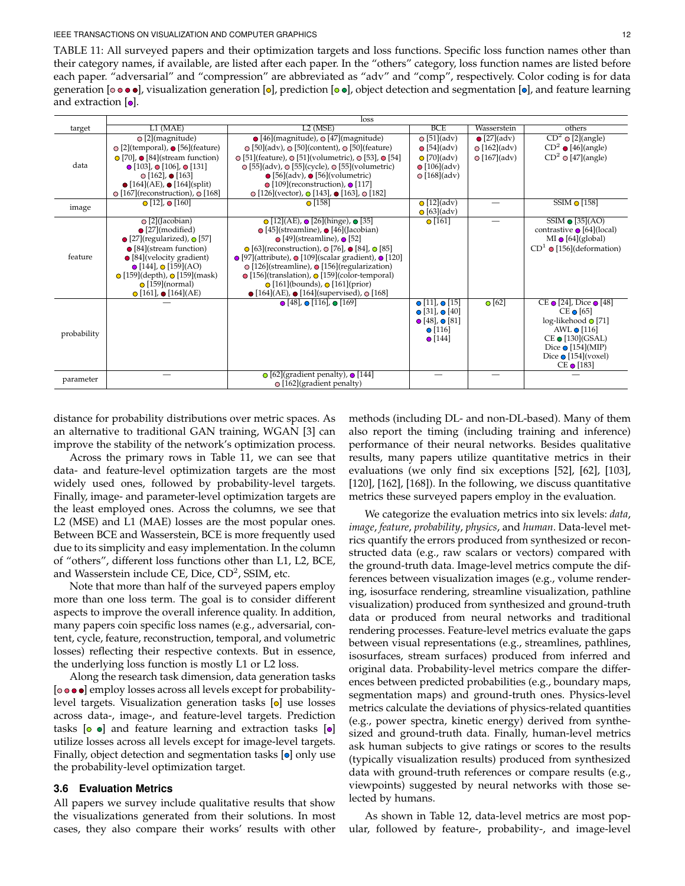#### IEEE TRANSACTIONS ON VISUALIZATION AND COMPUTER GRAPHICS 12

<span id="page-11-0"></span>TABLE 11: All surveyed papers and their optimization targets and loss functions. Specific loss function names other than their category names, if available, are listed after each paper. In the "others" category, loss function names are listed before each paper. "adversarial" and "compression" are abbreviated as "adv" and "comp", respectively. Color coding is for data generation  $[\circ \bullet \bullet \bullet]$ , visualization generation  $[\circ]$ , prediction  $[\circ \bullet]$ , object detection and segmentation  $[\circ]$ , and feature learning and extraction  $[**o**]$ .

|             | loss                                                                                                                                                                                                                                                                                                                        |                                                                                                                                                                                                                                                                                                                                                                                                                                                                                                                                          |                                                                                                                                          |                                           |                                                                                                                                                                                                         |
|-------------|-----------------------------------------------------------------------------------------------------------------------------------------------------------------------------------------------------------------------------------------------------------------------------------------------------------------------------|------------------------------------------------------------------------------------------------------------------------------------------------------------------------------------------------------------------------------------------------------------------------------------------------------------------------------------------------------------------------------------------------------------------------------------------------------------------------------------------------------------------------------------------|------------------------------------------------------------------------------------------------------------------------------------------|-------------------------------------------|---------------------------------------------------------------------------------------------------------------------------------------------------------------------------------------------------------|
| target      | $L1$ (MAE)                                                                                                                                                                                                                                                                                                                  | $L2$ (MSE)                                                                                                                                                                                                                                                                                                                                                                                                                                                                                                                               | <b>BCE</b>                                                                                                                               | Wasserstein                               | others                                                                                                                                                                                                  |
| data        | $\odot$ [2](magnitude)<br>$\odot$ [2](temporal), $\odot$ [56](feature)                                                                                                                                                                                                                                                      | $\bullet$ [46](magnitude), $\odot$ [47](magnitude)<br>$\odot$ [50](adv), $\odot$ [50](content), $\odot$ [50](feature)                                                                                                                                                                                                                                                                                                                                                                                                                    | $\odot$ [51](adv)<br>$\bullet$ [54](adv)                                                                                                 | $\bullet$ [27](adv)<br>$\odot$ [162](adv) | $\overline{CD^2 \circ [2]}$ (angle)<br>$CD^2$ $\bullet$ [46](angle)                                                                                                                                     |
|             | $\odot$ [70], $\odot$ [84](stream function)<br>$\bullet$ [103], $\bullet$ [106], $\bullet$ [131]<br>$\odot$ [162], $\odot$ [163]<br>$\bullet$ [164](AE), $\bullet$ [164](split)                                                                                                                                             | $\odot$ [51](feature), $\odot$ [51](volumetric), $\odot$ [53], $\odot$ [54]<br>$\odot$ [55](adv), $\odot$ [55](cycle), $\odot$ [55](volumetric)<br>$\bullet$ [56](adv), $\bullet$ [56](volumetric)<br>$\odot$ [109](reconstruction), $\odot$ [117]                                                                                                                                                                                                                                                                                       | $\odot$ [70](adv)<br>$\bigcirc$ [106](adv)<br>$\odot$ [168](adv)                                                                         | $\odot$ [167](adv)                        | $CD2$ o [47](angle)                                                                                                                                                                                     |
|             | $\odot$ [167](reconstruction), $\odot$ [168]                                                                                                                                                                                                                                                                                | $\odot$ [126] (vector), $\odot$ [143], $\odot$ [163], $\odot$ [182]                                                                                                                                                                                                                                                                                                                                                                                                                                                                      |                                                                                                                                          |                                           |                                                                                                                                                                                                         |
| image       | $\odot$ [12], $\odot$ [160]                                                                                                                                                                                                                                                                                                 | $\bigcirc$ [158]                                                                                                                                                                                                                                                                                                                                                                                                                                                                                                                         | $\bigcirc$ [12](adv)<br>$\bigcirc$ [63](adv)                                                                                             |                                           | SSIM $\odot$ [158]                                                                                                                                                                                      |
| feature     | $\bigcirc$ [2](Jacobian)<br>$\bullet$ [27](modified)<br>$\bullet$ [27](regularized), $\circ$ [57]<br>$\bullet$ [84](stream function)<br>$\bullet$ [84](velocity gradient)<br>$\bullet$ [144], $\bullet$ [159](AO)<br>$\odot$ [159](depth), $\odot$ [159](mask)<br>$\odot$ [159](normal)<br>$\odot$ [161], $\odot$ [164](AE) | $\odot$ [12](AE), $\odot$ [26](hinge), $\odot$ [35]<br>$\bullet$ [45](streamline), $\bullet$ [46](Jacobian)<br>$\odot$ [49](streamline), $\odot$ [52]<br>$\odot$ [63](reconstruction), $\odot$ [76], $\odot$ [84], $\odot$ [85]<br>$\odot$ [97](attribute), $\odot$ [109](scalar gradient), $\odot$ [120]<br>⊙ [126](streamline), ● [156](regularization)<br>$\odot$ [156](translation), $\odot$ [159](color-temporal)<br>$\odot$ [161](bounds), $\odot$ [161](prior)<br>$\bullet$ [164](AE), $\bullet$ [164](supervised), $\circ$ [168] | $\odot$ [161]                                                                                                                            |                                           | $SSIM \odot [35](AO)$<br>contrastive ● [64](local)<br>$MI \odot [64]$ (global)<br>$CD^1$ $\odot$ [156](deformation)                                                                                     |
| probability |                                                                                                                                                                                                                                                                                                                             | $\bullet$ [48], $\bullet$ [116], $\bullet$ [169]                                                                                                                                                                                                                                                                                                                                                                                                                                                                                         | $\bullet$ [11], $\bullet$ [15]<br>$\bullet$ [31], $\bullet$ [40]<br>$\bullet$ [48], $\bullet$ [81]<br>$\bullet$ [116]<br>$\bullet$ [144] | $\overline{\bigcirc}$ [62]                | CE $\odot$ [24], Dice $\odot$ [48]<br>$CE \bullet [65]$<br>$log-likelihood$ [71]<br>AWL $\odot$ [116]<br>$CE \bullet [130](GSAL)$<br>Dice $\odot$ [154](MIP)<br>Dice $\odot$ [154](voxel)<br>CE ● [183] |
| parameter   |                                                                                                                                                                                                                                                                                                                             | ⊙ [62](gradient penalty), ⊙ [144]<br>$\odot$ [162](gradient penalty)                                                                                                                                                                                                                                                                                                                                                                                                                                                                     |                                                                                                                                          |                                           |                                                                                                                                                                                                         |

distance for probability distributions over metric spaces. As an alternative to traditional GAN training, WGAN [\[3\]](#page-15-9) can improve the stability of the network's optimization process.

Across the primary rows in Table [11,](#page-11-0) we can see that data- and feature-level optimization targets are the most widely used ones, followed by probability-level targets. Finally, image- and parameter-level optimization targets are the least employed ones. Across the columns, we see that L2 (MSE) and L1 (MAE) losses are the most popular ones. Between BCE and Wasserstein, BCE is more frequently used due to its simplicity and easy implementation. In the column of "others", different loss functions other than L1, L2, BCE, and Wasserstein include CE, Dice, CD<sup>2</sup>, SSIM, etc.

Note that more than half of the surveyed papers employ more than one loss term. The goal is to consider different aspects to improve the overall inference quality. In addition, many papers coin specific loss names (e.g., adversarial, content, cycle, feature, reconstruction, temporal, and volumetric losses) reflecting their respective contexts. But in essence, the underlying loss function is mostly L1 or L2 loss.

Along the research task dimension, data generation tasks  $[$   $\circ$   $\bullet$   $\bullet$   $]$  employ losses across all levels except for probabilitylevel targets. Visualization generation tasks  $[ $\circ$ ]$  use losses across data-, image-, and feature-level targets. Prediction tasks  $\lceil \circ \bullet \rceil$  and feature learning and extraction tasks  $\lceil \bullet \rceil$ utilize losses across all levels except for image-level targets. Finally, object detection and segmentation tasks  $[**o**]$  only use the probability-level optimization target.

# **3.6 Evaluation Metrics**

All papers we survey include qualitative results that show the visualizations generated from their solutions. In most cases, they also compare their works' results with other methods (including DL- and non-DL-based). Many of them also report the timing (including training and inference) performance of their neural networks. Besides qualitative results, many papers utilize quantitative metrics in their evaluations (we only find six exceptions [\[52\]](#page-16-24), [\[62\]](#page-16-15), [\[103\]](#page-17-14), [\[120\]](#page-18-13), [\[162\]](#page-19-5), [\[168\]](#page-19-2)). In the following, we discuss quantitative metrics these surveyed papers employ in the evaluation.

We categorize the evaluation metrics into six levels: *data*, *image*, *feature*, *probability*, *physics*, and *human*. Data-level metrics quantify the errors produced from synthesized or reconstructed data (e.g., raw scalars or vectors) compared with the ground-truth data. Image-level metrics compute the differences between visualization images (e.g., volume rendering, isosurface rendering, streamline visualization, pathline visualization) produced from synthesized and ground-truth data or produced from neural networks and traditional rendering processes. Feature-level metrics evaluate the gaps between visual representations (e.g., streamlines, pathlines, isosurfaces, stream surfaces) produced from inferred and original data. Probability-level metrics compare the differences between predicted probabilities (e.g., boundary maps, segmentation maps) and ground-truth ones. Physics-level metrics calculate the deviations of physics-related quantities (e.g., power spectra, kinetic energy) derived from synthesized and ground-truth data. Finally, human-level metrics ask human subjects to give ratings or scores to the results (typically visualization results) produced from synthesized data with ground-truth references or compare results (e.g., viewpoints) suggested by neural networks with those selected by humans.

As shown in Table [12,](#page-12-0) data-level metrics are most popular, followed by feature-, probability-, and image-level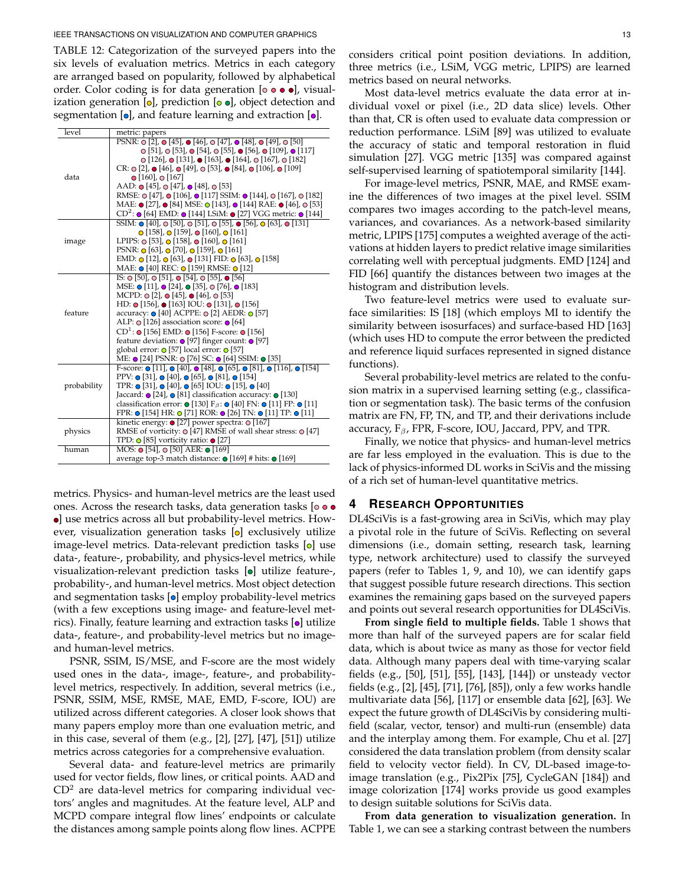#### IEEE TRANSACTIONS ON VISUALIZATION AND COMPUTER GRAPHICS 13 13

<span id="page-12-0"></span>TABLE 12: Categorization of the surveyed papers into the six levels of evaluation metrics. Metrics in each category are arranged based on popularity, followed by alphabetical order. Color coding is for data generation  $[ \circ \circ \bullet \bullet ]$ , visualization generation  $[0]$ , prediction  $[0]$ , object detection and segmentation  $[**o**]$ , and feature learning and extraction  $[**o**]$ .

| level       | metric: papers                                                                                                                                                                                                                                                                                                                                                                                                                                                                                                                                                                                                                                                                                                                                          |
|-------------|---------------------------------------------------------------------------------------------------------------------------------------------------------------------------------------------------------------------------------------------------------------------------------------------------------------------------------------------------------------------------------------------------------------------------------------------------------------------------------------------------------------------------------------------------------------------------------------------------------------------------------------------------------------------------------------------------------------------------------------------------------|
| data        | PSNR: $\odot$ [2], $\odot$ [45], $\odot$ [46], $\odot$ [47], $\odot$ [48], $\odot$ [49], $\odot$ [50]<br>$\odot$ [51], $\odot$ [53], $\odot$ [54], $\odot$ [55], $\odot$ [56], $\odot$ [109], $\odot$ [117]<br>$\odot$ [126], $\odot$ [131], $\odot$ [163], $\odot$ [164], $\odot$ [167], $\odot$ [182]<br>CR: $\odot$ [2], $\odot$ [46], $\odot$ [49], $\odot$ [53], $\odot$ [84], $\odot$ [106], $\odot$ [109]<br>$\bullet$ [160], $\bullet$ [167]<br>AAD: $\odot$ [45], $\odot$ [47], $\odot$ [48], $\odot$ [53]<br>RMSE: ⊙ [47], ⊙ [106], ⊙ [117] SSIM: ⊙ [144], ⊙ [167], ⊙ [182]<br>MAE: ● [27], ● [84] MSE: © [143], ● [144] RAE: ● [46], © [53]<br>$CD^2$ : $\bullet$ [64] EMD: $\bullet$ [144] LSiM: $\bullet$ [27] VGG metric: $\bullet$ [144] |
| image       | SSIM: $\odot$ [40], $\odot$ [50], $\odot$ [51], $\odot$ [55], $\odot$ [56], $\odot$ [63], $\odot$ [131]<br>$\odot$ [158], $\odot$ [159], $\odot$ [160], $\odot$ [161]<br>LPIPS: $\odot$ [53], $\odot$ [158], $\odot$ [160], $\odot$ [161]<br>PSNR: $\odot$ [63], $\odot$ [70], $\odot$ [159], $\odot$ [161]<br>EMD: $\odot$ [12], $\odot$ [63], $\odot$ [131] FID: $\odot$ [63], $\odot$ [158]<br>MAE: • [40] REC: • [159] RMSE: • [12]                                                                                                                                                                                                                                                                                                                 |
| feature     | IS: $\odot$ [50], $\odot$ [51], $\odot$ [54], $\odot$ [55], $\odot$ [56]<br>MSE: • [11], • [24], • [35], • [76], • [183]<br>MCPD: o [2], o [45], o [46], o [53]<br>HD: $\odot$ [156], $\odot$ [163] IOU: $\odot$ [131], $\odot$ [156]<br>accuracy: ● [40] ACPPE: ● [2] AEDR: ● [57]<br>ALP: $\odot$ [126] association score: $\odot$ [64]<br>$CD^1$ : $\odot$ [156] EMD: $\odot$ [156] F-score: $\odot$ [156]<br>feature deviation: $\odot$ [97] finger count: $\odot$ [97]<br>global error: O [57] local error: O [57]<br>ME: ● [24] PSNR: ● [76] SC: ● [64] SSIM: ● [35]                                                                                                                                                                              |
| probability | F-score: $\odot$ [11], $\odot$ [40], $\odot$ [48], $\odot$ [65], $\odot$ [81], $\odot$ [116], $\odot$ [154]<br>PPV: $\odot$ [31], $\odot$ [40], $\odot$ [65], $\odot$ [81], $\odot$ [154]<br>TPR: $\odot$ [31], $\odot$ [40], $\odot$ [65] IOU: $\odot$ [15], $\odot$ [40]<br>Jaccard: $\odot$ [24], $\odot$ [81] classification accuracy: $\odot$ [130]<br>classification error: $\bullet$ [130] F <sub>β</sub> : $\bullet$ [40] FN: $\bullet$ [11] FP: $\bullet$ [11]<br>FPR: $\odot$ [154] HR: $\odot$ [71] ROR: $\odot$ [26] TN: $\odot$ [11] TP: $\odot$ [11]                                                                                                                                                                                      |
| physics     | kinetic energy: $\bullet$ [27] power spectra: $\bullet$ [167]<br>RMSE of vorticity: $\odot$ [47] RMSE of wall shear stress: $\odot$ [47]<br>TPD: $\odot$ [85] vorticity ratio: $\odot$ [27]                                                                                                                                                                                                                                                                                                                                                                                                                                                                                                                                                             |
| human       | MOS: $\odot$ [54], $\odot$ [50] AER: $\odot$ [169]<br>average top-3 match distance: ● [169] # hits: ● [169]                                                                                                                                                                                                                                                                                                                                                                                                                                                                                                                                                                                                                                             |

metrics. Physics- and human-level metrics are the least used ones. Across the research tasks, data generation tasks  $[ \circ \bullet \bullet$ ] use metrics across all but probability-level metrics. However, visualization generation tasks [o] exclusively utilize image-level metrics. Data-relevant prediction tasks  $[ $\circ$ ]$  use data-, feature-, probability, and physics-level metrics, while visualization-relevant prediction tasks  $[{\bullet}]$  utilize feature-, probability-, and human-level metrics. Most object detection and segmentation tasks  $[**o**]$  employ probability-level metrics (with a few exceptions using image- and feature-level metrics). Finally, feature learning and extraction tasks  $[•]$  utilize data-, feature-, and probability-level metrics but no imageand human-level metrics.

PSNR, SSIM, IS/MSE, and F-score are the most widely used ones in the data-, image-, feature-, and probabilitylevel metrics, respectively. In addition, several metrics (i.e., PSNR, SSIM, MSE, RMSE, MAE, EMD, F-score, IOU) are utilized across different categories. A closer look shows that many papers employ more than one evaluation metric, and in this case, several of them (e.g., [\[2\]](#page-15-2), [\[27\]](#page-16-13), [\[47\]](#page-16-7), [\[51\]](#page-16-5)) utilize metrics across categories for a comprehensive evaluation.

Several data- and feature-level metrics are primarily used for vector fields, flow lines, or critical points. AAD and  $CD<sup>2</sup>$  are data-level metrics for comparing individual vectors' angles and magnitudes. At the feature level, ALP and MCPD compare integral flow lines' endpoints or calculate the distances among sample points along flow lines. ACPPE considers critical point position deviations. In addition, three metrics (i.e., LSiM, VGG metric, LPIPS) are learned metrics based on neural networks.

Most data-level metrics evaluate the data error at individual voxel or pixel (i.e., 2D data slice) levels. Other than that, CR is often used to evaluate data compression or reduction performance. LSiM [\[89\]](#page-17-25) was utilized to evaluate the accuracy of static and temporal restoration in fluid simulation [\[27\]](#page-16-13). VGG metric [\[135\]](#page-18-33) was compared against self-supervised learning of spatiotemporal similarity [\[144\]](#page-18-15).

For image-level metrics, PSNR, MAE, and RMSE examine the differences of two images at the pixel level. SSIM compares two images according to the patch-level means, variances, and covariances. As a network-based similarity metric, LPIPS [\[175\]](#page-19-15) computes a weighted average of the activations at hidden layers to predict relative image similarities correlating well with perceptual judgments. EMD [\[124\]](#page-18-27) and FID [\[66\]](#page-16-28) quantify the distances between two images at the histogram and distribution levels.

Two feature-level metrics were used to evaluate surface similarities: IS [\[18\]](#page-15-11) (which employs MI to identify the similarity between isosurfaces) and surface-based HD [\[163\]](#page-19-7) (which uses HD to compute the error between the predicted and reference liquid surfaces represented in signed distance functions).

Several probability-level metrics are related to the confusion matrix in a supervised learning setting (e.g., classification or segmentation task). The basic terms of the confusion matrix are FN, FP, TN, and TP, and their derivations include accuracy,  $F_\beta$ , FPR, F-score, IOU, Jaccard, PPV, and TPR.

Finally, we notice that physics- and human-level metrics are far less employed in the evaluation. This is due to the lack of physics-informed DL works in SciVis and the missing of a rich set of human-level quantitative metrics.

## **4 RESEARCH OPPORTUNITIES**

DL4SciVis is a fast-growing area in SciVis, which may play a pivotal role in the future of SciVis. Reflecting on several dimensions (i.e., domain setting, research task, learning type, network architecture) used to classify the surveyed papers (refer to Tables [1,](#page-1-0) [9,](#page-8-1) and [10\)](#page-10-0), we can identify gaps that suggest possible future research directions. This section examines the remaining gaps based on the surveyed papers and points out several research opportunities for DL4SciVis.

**From single field to multiple fields.** Table [1](#page-1-0) shows that more than half of the surveyed papers are for scalar field data, which is about twice as many as those for vector field data. Although many papers deal with time-varying scalar fields (e.g., [\[50\]](#page-16-6), [\[51\]](#page-16-5), [\[55\]](#page-16-4), [\[143\]](#page-18-10), [\[144\]](#page-18-15)) or unsteady vector fields (e.g., [\[2\]](#page-15-2), [\[45\]](#page-16-3), [\[71\]](#page-17-11), [\[76\]](#page-17-7), [\[85\]](#page-17-12)), only a few works handle multivariate data [\[56\]](#page-16-11), [\[117\]](#page-18-14) or ensemble data [\[62\]](#page-16-15), [\[63\]](#page-16-14). We expect the future growth of DL4SciVis by considering multifield (scalar, vector, tensor) and multi-run (ensemble) data and the interplay among them. For example, Chu et al. [\[27\]](#page-16-13) considered the data translation problem (from density scalar field to velocity vector field). In CV, DL-based image-toimage translation (e.g., Pix2Pix [\[75\]](#page-17-26), CycleGAN [\[184\]](#page-19-16)) and image colorization [\[174\]](#page-19-17) works provide us good examples to design suitable solutions for SciVis data.

**From data generation to visualization generation.** In Table [1,](#page-1-0) we can see a starking contrast between the numbers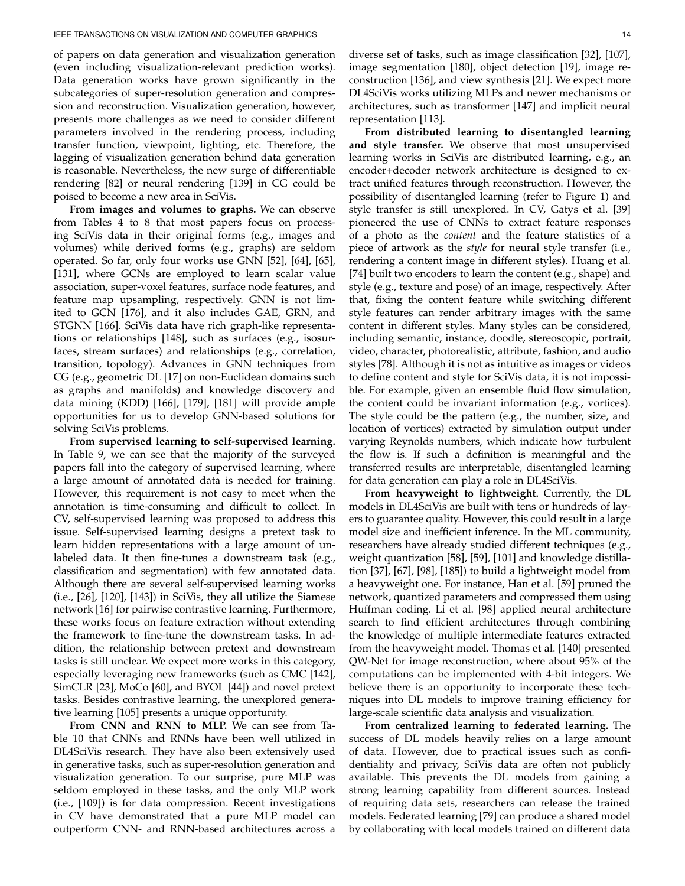of papers on data generation and visualization generation (even including visualization-relevant prediction works). Data generation works have grown significantly in the subcategories of super-resolution generation and compression and reconstruction. Visualization generation, however, presents more challenges as we need to consider different parameters involved in the rendering process, including transfer function, viewpoint, lighting, etc. Therefore, the lagging of visualization generation behind data generation is reasonable. Nevertheless, the new surge of differentiable rendering [\[82\]](#page-17-27) or neural rendering [\[139\]](#page-18-30) in CG could be poised to become a new area in SciVis.

**From images and volumes to graphs.** We can observe from Tables [4](#page-3-0) to [8](#page-7-0) that most papers focus on processing SciVis data in their original forms (e.g., images and volumes) while derived forms (e.g., graphs) are seldom operated. So far, only four works use GNN [\[52\]](#page-16-24), [\[64\]](#page-16-22), [\[65\]](#page-16-19), [\[131\]](#page-18-9), where GCNs are employed to learn scalar value association, super-voxel features, surface node features, and feature map upsampling, respectively. GNN is not limited to GCN [\[176\]](#page-19-18), and it also includes GAE, GRN, and STGNN [\[166\]](#page-19-19). SciVis data have rich graph-like representations or relationships [\[148\]](#page-18-34), such as surfaces (e.g., isosurfaces, stream surfaces) and relationships (e.g., correlation, transition, topology). Advances in GNN techniques from CG (e.g., geometric DL [\[17\]](#page-15-13) on non-Euclidean domains such as graphs and manifolds) and knowledge discovery and data mining (KDD) [\[166\]](#page-19-19), [\[179\]](#page-19-20), [\[181\]](#page-19-21) will provide ample opportunities for us to develop GNN-based solutions for solving SciVis problems.

**From supervised learning to self-supervised learning.** In Table [9,](#page-8-1) we can see that the majority of the surveyed papers fall into the category of supervised learning, where a large amount of annotated data is needed for training. However, this requirement is not easy to meet when the annotation is time-consuming and difficult to collect. In CV, self-supervised learning was proposed to address this issue. Self-supervised learning designs a pretext task to learn hidden representations with a large amount of unlabeled data. It then fine-tunes a downstream task (e.g., classification and segmentation) with few annotated data. Although there are several self-supervised learning works (i.e., [\[26\]](#page-16-25), [\[120\]](#page-18-13), [\[143\]](#page-18-10)) in SciVis, they all utilize the Siamese network [\[16\]](#page-15-7) for pairwise contrastive learning. Furthermore, these works focus on feature extraction without extending the framework to fine-tune the downstream tasks. In addition, the relationship between pretext and downstream tasks is still unclear. We expect more works in this category, especially leveraging new frameworks (such as CMC [\[142\]](#page-18-35), SimCLR [\[23\]](#page-16-33), MoCo [\[60\]](#page-16-34), and BYOL [\[44\]](#page-16-35)) and novel pretext tasks. Besides contrastive learning, the unexplored generative learning [\[105\]](#page-17-29) presents a unique opportunity.

**From CNN and RNN to MLP.** We can see from Table [10](#page-10-0) that CNNs and RNNs have been well utilized in DL4SciVis research. They have also been extensively used in generative tasks, such as super-resolution generation and visualization generation. To our surprise, pure MLP was seldom employed in these tasks, and the only MLP work (i.e., [\[109\]](#page-17-6)) is for data compression. Recent investigations in CV have demonstrated that a pure MLP model can outperform CNN- and RNN-based architectures across a

diverse set of tasks, such as image classification [\[32\]](#page-16-36), [\[107\]](#page-17-32), image segmentation [\[180\]](#page-19-22), object detection [\[19\]](#page-15-14), image reconstruction [\[136\]](#page-18-29), and view synthesis [\[21\]](#page-15-15). We expect more DL4SciVis works utilizing MLPs and newer mechanisms or architectures, such as transformer [\[147\]](#page-18-36) and implicit neural representation [\[113\]](#page-17-33).

**From distributed learning to disentangled learning and style transfer.** We observe that most unsupervised learning works in SciVis are distributed learning, e.g., an encoder+decoder network architecture is designed to extract unified features through reconstruction. However, the possibility of disentangled learning (refer to Figure [1\)](#page-8-0) and style transfer is still unexplored. In CV, Gatys et al. [\[39\]](#page-16-37) pioneered the use of CNNs to extract feature responses of a photo as the *content* and the feature statistics of a piece of artwork as the *style* for neural style transfer (i.e., rendering a content image in different styles). Huang et al. [\[74\]](#page-17-34) built two encoders to learn the content (e.g., shape) and style (e.g., texture and pose) of an image, respectively. After that, fixing the content feature while switching different style features can render arbitrary images with the same content in different styles. Many styles can be considered, including semantic, instance, doodle, stereoscopic, portrait, video, character, photorealistic, attribute, fashion, and audio styles [\[78\]](#page-17-35). Although it is not as intuitive as images or videos to define content and style for SciVis data, it is not impossible. For example, given an ensemble fluid flow simulation, the content could be invariant information (e.g., vortices). The style could be the pattern (e.g., the number, size, and location of vortices) extracted by simulation output under varying Reynolds numbers, which indicate how turbulent the flow is. If such a definition is meaningful and the transferred results are interpretable, disentangled learning for data generation can play a role in DL4SciVis.

**From heavyweight to lightweight.** Currently, the DL models in DL4SciVis are built with tens or hundreds of layers to guarantee quality. However, this could result in a large model size and inefficient inference. In the ML community, researchers have already studied different techniques (e.g., weight quantization [\[58\]](#page-16-38), [\[59\]](#page-16-39), [\[101\]](#page-17-36) and knowledge distillation [\[37\]](#page-16-40), [\[67\]](#page-17-37), [\[98\]](#page-17-38), [\[185\]](#page-19-23)) to build a lightweight model from a heavyweight one. For instance, Han et al. [\[59\]](#page-16-39) pruned the network, quantized parameters and compressed them using Huffman coding. Li et al. [\[98\]](#page-17-38) applied neural architecture search to find efficient architectures through combining the knowledge of multiple intermediate features extracted from the heavyweight model. Thomas et al. [\[140\]](#page-18-37) presented QW-Net for image reconstruction, where about 95% of the computations can be implemented with 4-bit integers. We believe there is an opportunity to incorporate these techniques into DL models to improve training efficiency for large-scale scientific data analysis and visualization.

**From centralized learning to federated learning.** The success of DL models heavily relies on a large amount of data. However, due to practical issues such as confidentiality and privacy, SciVis data are often not publicly available. This prevents the DL models from gaining a strong learning capability from different sources. Instead of requiring data sets, researchers can release the trained models. Federated learning [\[79\]](#page-17-39) can produce a shared model by collaborating with local models trained on different data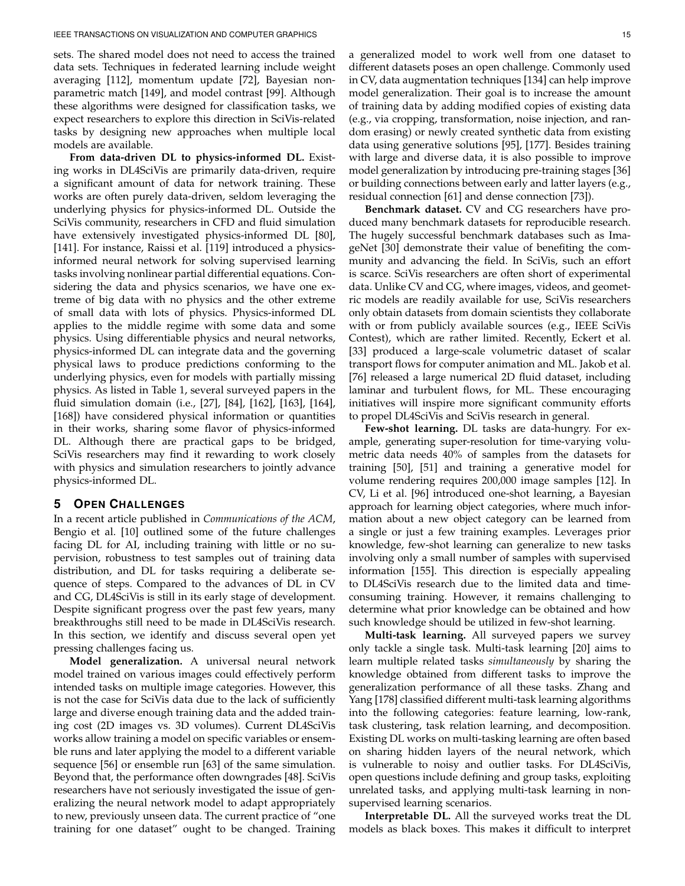sets. The shared model does not need to access the trained data sets. Techniques in federated learning include weight averaging [\[112\]](#page-17-40), momentum update [\[72\]](#page-17-41), Bayesian nonparametric match [\[149\]](#page-18-38), and model contrast [\[99\]](#page-17-42). Although these algorithms were designed for classification tasks, we expect researchers to explore this direction in SciVis-related tasks by designing new approaches when multiple local models are available.

**From data-driven DL to physics-informed DL.** Existing works in DL4SciVis are primarily data-driven, require a significant amount of data for network training. These works are often purely data-driven, seldom leveraging the underlying physics for physics-informed DL. Outside the SciVis community, researchers in CFD and fluid simulation have extensively investigated physics-informed DL [\[80\]](#page-17-43), [\[141\]](#page-18-39). For instance, Raissi et al. [\[119\]](#page-18-40) introduced a physicsinformed neural network for solving supervised learning tasks involving nonlinear partial differential equations. Considering the data and physics scenarios, we have one extreme of big data with no physics and the other extreme of small data with lots of physics. Physics-informed DL applies to the middle regime with some data and some physics. Using differentiable physics and neural networks, physics-informed DL can integrate data and the governing physical laws to produce predictions conforming to the underlying physics, even for models with partially missing physics. As listed in Table [1,](#page-1-0) several surveyed papers in the fluid simulation domain (i.e., [\[27\]](#page-16-13), [\[84\]](#page-17-9), [\[162\]](#page-19-5), [\[163\]](#page-19-7), [\[164\]](#page-19-8), [\[168\]](#page-19-2)) have considered physical information or quantities in their works, sharing some flavor of physics-informed DL. Although there are practical gaps to be bridged, SciVis researchers may find it rewarding to work closely with physics and simulation researchers to jointly advance physics-informed DL.

## **5 OPEN CHALLENGES**

In a recent article published in *Communications of the ACM*, Bengio et al. [\[10\]](#page-15-16) outlined some of the future challenges facing DL for AI, including training with little or no supervision, robustness to test samples out of training data distribution, and DL for tasks requiring a deliberate sequence of steps. Compared to the advances of DL in CV and CG, DL4SciVis is still in its early stage of development. Despite significant progress over the past few years, many breakthroughs still need to be made in DL4SciVis research. In this section, we identify and discuss several open yet pressing challenges facing us.

**Model generalization.** A universal neural network model trained on various images could effectively perform intended tasks on multiple image categories. However, this is not the case for SciVis data due to the lack of sufficiently large and diverse enough training data and the added training cost (2D images vs. 3D volumes). Current DL4SciVis works allow training a model on specific variables or ensemble runs and later applying the model to a different variable sequence [\[56\]](#page-16-11) or ensemble run [\[63\]](#page-16-14) of the same simulation. Beyond that, the performance often downgrades [\[48\]](#page-16-23). SciVis researchers have not seriously investigated the issue of generalizing the neural network model to adapt appropriately to new, previously unseen data. The current practice of "one training for one dataset" ought to be changed. Training

a generalized model to work well from one dataset to different datasets poses an open challenge. Commonly used in CV, data augmentation techniques [\[134\]](#page-18-41) can help improve model generalization. Their goal is to increase the amount of training data by adding modified copies of existing data (e.g., via cropping, transformation, noise injection, and random erasing) or newly created synthetic data from existing data using generative solutions [\[95\]](#page-17-44), [\[177\]](#page-19-24). Besides training with large and diverse data, it is also possible to improve model generalization by introducing pre-training stages [\[36\]](#page-16-41) or building connections between early and latter layers (e.g., residual connection [\[61\]](#page-16-26) and dense connection [\[73\]](#page-17-17)).

**Benchmark dataset.** CV and CG researchers have produced many benchmark datasets for reproducible research. The hugely successful benchmark databases such as ImageNet [\[30\]](#page-16-42) demonstrate their value of benefiting the community and advancing the field. In SciVis, such an effort is scarce. SciVis researchers are often short of experimental data. Unlike CV and CG, where images, videos, and geometric models are readily available for use, SciVis researchers only obtain datasets from domain scientists they collaborate with or from publicly available sources (e.g., IEEE SciVis Contest), which are rather limited. Recently, Eckert et al. [\[33\]](#page-16-43) produced a large-scale volumetric dataset of scalar transport flows for computer animation and ML. Jakob et al. [\[76\]](#page-17-7) released a large numerical 2D fluid dataset, including laminar and turbulent flows, for ML. These encouraging initiatives will inspire more significant community efforts to propel DL4SciVis and SciVis research in general.

**Few-shot learning.** DL tasks are data-hungry. For example, generating super-resolution for time-varying volumetric data needs 40% of samples from the datasets for training [\[50\]](#page-16-6), [\[51\]](#page-16-5) and training a generative model for volume rendering requires 200,000 image samples [\[12\]](#page-15-3). In CV, Li et al. [\[96\]](#page-17-45) introduced one-shot learning, a Bayesian approach for learning object categories, where much information about a new object category can be learned from a single or just a few training examples. Leverages prior knowledge, few-shot learning can generalize to new tasks involving only a small number of samples with supervised information [\[155\]](#page-18-42). This direction is especially appealing to DL4SciVis research due to the limited data and timeconsuming training. However, it remains challenging to determine what prior knowledge can be obtained and how such knowledge should be utilized in few-shot learning.

**Multi-task learning.** All surveyed papers we survey only tackle a single task. Multi-task learning [\[20\]](#page-15-17) aims to learn multiple related tasks *simultaneously* by sharing the knowledge obtained from different tasks to improve the generalization performance of all these tasks. Zhang and Yang [\[178\]](#page-19-25) classified different multi-task learning algorithms into the following categories: feature learning, low-rank, task clustering, task relation learning, and decomposition. Existing DL works on multi-tasking learning are often based on sharing hidden layers of the neural network, which is vulnerable to noisy and outlier tasks. For DL4SciVis, open questions include defining and group tasks, exploiting unrelated tasks, and applying multi-task learning in nonsupervised learning scenarios.

**Interpretable DL.** All the surveyed works treat the DL models as black boxes. This makes it difficult to interpret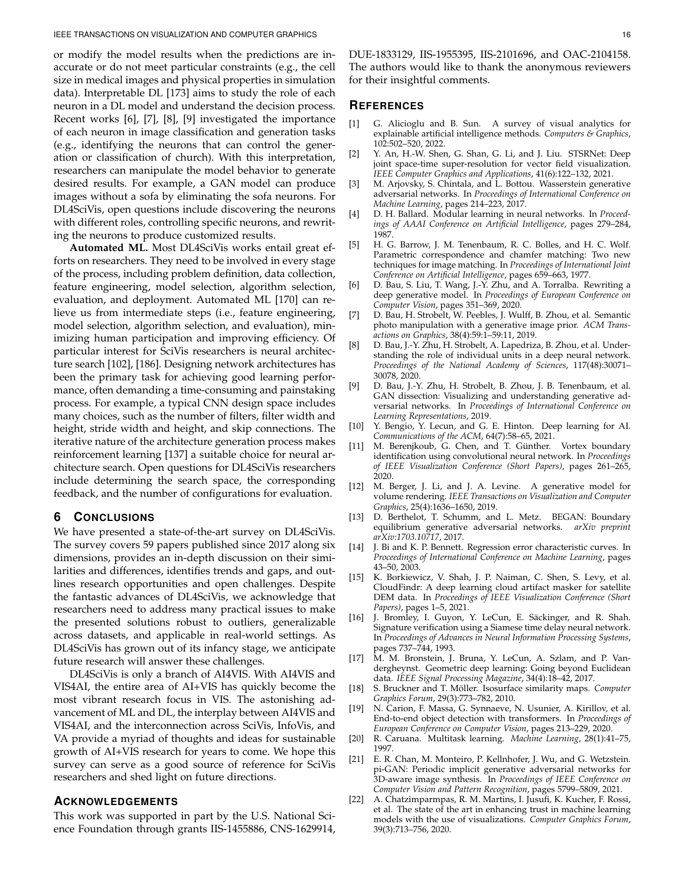or modify the model results when the predictions are inaccurate or do not meet particular constraints (e.g., the cell size in medical images and physical properties in simulation data). Interpretable DL [\[173\]](#page-19-26) aims to study the role of each neuron in a DL model and understand the decision process. Recent works [\[6\]](#page-15-18), [\[7\]](#page-15-19), [\[8\]](#page-15-20), [\[9\]](#page-15-21) investigated the importance of each neuron in image classification and generation tasks (e.g., identifying the neurons that can control the generation or classification of church). With this interpretation, researchers can manipulate the model behavior to generate desired results. For example, a GAN model can produce images without a sofa by eliminating the sofa neurons. For DL4SciVis, open questions include discovering the neurons with different roles, controlling specific neurons, and rewriting the neurons to produce customized results.

**Automated ML.** Most DL4SciVis works entail great efforts on researchers. They need to be involved in every stage of the process, including problem definition, data collection, feature engineering, model selection, algorithm selection, evaluation, and deployment. Automated ML [\[170\]](#page-19-27) can relieve us from intermediate steps (i.e., feature engineering, model selection, algorithm selection, and evaluation), minimizing human participation and improving efficiency. Of particular interest for SciVis researchers is neural architecture search [\[102\]](#page-17-46), [\[186\]](#page-19-28). Designing network architectures has been the primary task for achieving good learning performance, often demanding a time-consuming and painstaking process. For example, a typical CNN design space includes many choices, such as the number of filters, filter width and height, stride width and height, and skip connections. The iterative nature of the architecture generation process makes reinforcement learning [\[137\]](#page-18-43) a suitable choice for neural architecture search. Open questions for DL4SciVis researchers include determining the search space, the corresponding feedback, and the number of configurations for evaluation.

# **6 CONCLUSIONS**

We have presented a state-of-the-art survey on DL4SciVis. The survey covers 59 papers published since 2017 along six dimensions, provides an in-depth discussion on their similarities and differences, identifies trends and gaps, and outlines research opportunities and open challenges. Despite the fantastic advances of DL4SciVis, we acknowledge that researchers need to address many practical issues to make the presented solutions robust to outliers, generalizable across datasets, and applicable in real-world settings. As DL4SciVis has grown out of its infancy stage, we anticipate future research will answer these challenges.

DL4SciVis is only a branch of AI4VIS. With AI4VIS and VIS4AI, the entire area of AI+VIS has quickly become the most vibrant research focus in VIS. The astonishing advancement of ML and DL, the interplay between AI4VIS and VIS4AI, and the interconnection across SciVis, InfoVis, and VA provide a myriad of thoughts and ideas for sustainable growth of AI+VIS research for years to come. We hope this survey can serve as a good source of reference for SciVis researchers and shed light on future directions.

## **ACKNOWLEDGEMENTS**

This work was supported in part by the U.S. National Science Foundation through grants IIS-1455886, CNS-1629914, DUE-1833129, IIS-1955395, IIS-2101696, and OAC-2104158. The authors would like to thank the anonymous reviewers for their insightful comments.

## **REFERENCES**

- <span id="page-15-0"></span>[1] G. Alicioglu and B. Sun. A survey of visual analytics for explainable artificial intelligence methods. *Computers & Graphics*, 102:502–520, 2022.
- <span id="page-15-2"></span>[2] Y. An, H.-W. Shen, G. Shan, G. Li, and J. Liu. STSRNet: Deep joint space-time super-resolution for vector field visualization. *IEEE Computer Graphics and Applications*, 41(6):122–132, 2021.
- <span id="page-15-9"></span>[3] M. Arjovsky, S. Chintala, and L. Bottou. Wasserstein generative adversarial networks. In *Proceedings of International Conference on Machine Learning*, pages 214–223, 2017.
- <span id="page-15-6"></span>[4] D. H. Ballard. Modular learning in neural networks. In *Proceedings of AAAI Conference on Artificial Intelligence*, pages 279–284, 1987.
- <span id="page-15-10"></span>[5] H. G. Barrow, J. M. Tenenbaum, R. C. Bolles, and H. C. Wolf. Parametric correspondence and chamfer matching: Two new techniques for image matching. In *Proceedings of International Joint Conference on Artificial Intelligence*, pages 659–663, 1977.
- <span id="page-15-18"></span>[6] D. Bau, S. Liu, T. Wang, J.-Y. Zhu, and A. Torralba. Rewriting a deep generative model. In *Proceedings of European Conference on Computer Vision*, pages 351–369, 2020.
- <span id="page-15-19"></span>[7] D. Bau, H. Strobelt, W. Peebles, J. Wulff, B. Zhou, et al. Semantic photo manipulation with a generative image prior. *ACM Transactions on Graphics*, 38(4):59:1–59:11, 2019.
- <span id="page-15-20"></span>[8] D. Bau, J.-Y. Zhu, H. Strobelt, A. Lapedriza, B. Zhou, et al. Understanding the role of individual units in a deep neural network. *Proceedings of the National Academy of Sciences*, 117(48):30071– 30078, 2020.
- <span id="page-15-21"></span>[9] D. Bau, J.-Y. Zhu, H. Strobelt, B. Zhou, J. B. Tenenbaum, et al. GAN dissection: Visualizing and understanding generative adversarial networks. In *Proceedings of International Conference on Learning Representations*, 2019.
- <span id="page-15-16"></span>[10] Y. Bengio, Y. Lecun, and G. E. Hinton. Deep learning for AI. *Communications of the ACM*, 64(7):58–65, 2021.
- <span id="page-15-4"></span>M. Berenjkoub, G. Chen, and T. Günther. Vortex boundary identification using convolutional neural network. In *Proceedings of IEEE Visualization Conference (Short Papers)*, pages 261–265, 2020.
- <span id="page-15-3"></span>[12] M. Berger, J. Li, and J. A. Levine. A generative model for volume rendering. *IEEE Transactions on Visualization and Computer Graphics*, 25(4):1636–1650, 2019.
- <span id="page-15-8"></span>[13] D. Berthelot, T. Schumm, and L. Metz. BEGAN: Boundary equilibrium generative adversarial networks. *arXiv preprint arXiv:1703.10717*, 2017.
- <span id="page-15-12"></span>[14] J. Bi and K. P. Bennett. Regression error characteristic curves. In *Proceedings of International Conference on Machine Learning*, pages 43–50, 2003.
- <span id="page-15-5"></span>[15] K. Borkiewicz, V. Shah, J. P. Naiman, C. Shen, S. Levy, et al. CloudFindr: A deep learning cloud artifact masker for satellite DEM data. In *Proceedings of IEEE Visualization Conference (Short Papers)*, pages 1–5, 2021.
- <span id="page-15-7"></span>[16] J. Bromley, I. Guyon, Y. LeCun, E. Säckinger, and R. Shah. Signature verification using a Siamese time delay neural network. In *Proceedings of Advances in Neural Information Processing Systems*, pages 737–744, 1993.
- <span id="page-15-13"></span>[17] M. M. Bronstein, J. Bruna, Y. LeCun, A. Szlam, and P. Vandergheynst. Geometric deep learning: Going beyond Euclidean data. *IEEE Signal Processing Magazine*, 34(4):18–42, 2017.
- <span id="page-15-11"></span>[18] S. Bruckner and T. Möller. Isosurface similarity maps. *Computer Graphics Forum*, 29(3):773–782, 2010.
- <span id="page-15-14"></span>[19] N. Carion, F. Massa, G. Synnaeve, N. Usunier, A. Kirillov, et al. End-to-end object detection with transformers. In *Proceedings of European Conference on Computer Vision*, pages 213–229, 2020.
- <span id="page-15-17"></span>[20] R. Caruana. Multitask learning. *Machine Learning*, 28(1):41–75, 1997.
- <span id="page-15-15"></span>[21] E. R. Chan, M. Monteiro, P. Kellnhofer, J. Wu, and G. Wetzstein. pi-GAN: Periodic implicit generative adversarial networks for 3D-aware image synthesis. In *Proceedings of IEEE Conference on Computer Vision and Pattern Recognition*, pages 5799–5809, 2021.
- <span id="page-15-1"></span>[22] A. Chatzimparmpas, R. M. Martins, I. Jusufi, K. Kucher, F. Rossi, et al. The state of the art in enhancing trust in machine learning models with the use of visualizations. *Computer Graphics Forum*, 39(3):713–756, 2020.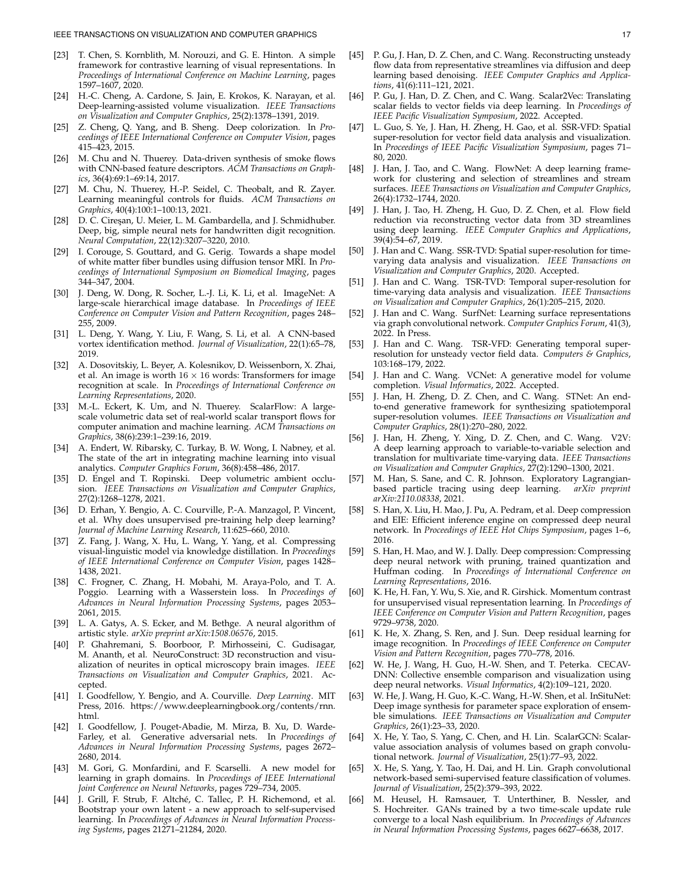- <span id="page-16-33"></span>[23] T. Chen, S. Kornblith, M. Norouzi, and G. E. Hinton. A simple framework for contrastive learning of visual representations. In *Proceedings of International Conference on Machine Learning*, pages 1597–1607, 2020.
- <span id="page-16-21"></span>[24] H.-C. Cheng, A. Cardone, S. Jain, E. Krokos, K. Narayan, et al. Deep-learning-assisted volume visualization. *IEEE Transactions on Visualization and Computer Graphics*, 25(2):1378–1391, 2019.
- <span id="page-16-30"></span>Z. Cheng, Q. Yang, and B. Sheng. Deep colorization. In *Proceedings of IEEE International Conference on Computer Vision*, pages 415–423, 2015.
- <span id="page-16-25"></span>[26] M. Chu and N. Thuerey. Data-driven synthesis of smoke flows with CNN-based feature descriptors. *ACM Transactions on Graphics*, 36(4):69:1–69:14, 2017.
- <span id="page-16-13"></span>[27] M. Chu, N. Thuerey, H.-P. Seidel, C. Theobalt, and R. Zayer. Learning meaningful controls for fluids. *ACM Transactions on Graphics*, 40(4):100:1–100:13, 2021.
- <span id="page-16-0"></span>D. C. Cireşan, U. Meier, L. M. Gambardella, and J. Schmidhuber. Deep, big, simple neural nets for handwritten digit recognition. *Neural Computation*, 22(12):3207–3220, 2010.
- <span id="page-16-29"></span>[29] I. Corouge, S. Gouttard, and G. Gerig. Towards a shape model of white matter fiber bundles using diffusion tensor MRI. In *Proceedings of International Symposium on Biomedical Imaging*, pages 344–347, 2004.
- <span id="page-16-42"></span>[30] J. Deng, W. Dong, R. Socher, L.-J. Li, K. Li, et al. ImageNet: A large-scale hierarchical image database. In *Proceedings of IEEE Conference on Computer Vision and Pattern Recognition*, pages 248– 255, 2009.
- <span id="page-16-20"></span>[31] L. Deng, Y. Wang, Y. Liu, F. Wang, S. Li, et al. A CNN-based vortex identification method. *Journal of Visualization*, 22(1):65–78, 2019.
- <span id="page-16-36"></span>[32] A. Dosovitskiy, L. Beyer, A. Kolesnikov, D. Weissenborn, X. Zhai, et al. An image is worth  $16 \times 16$  words: Transformers for image recognition at scale. In *Proceedings of International Conference on Learning Representations*, 2020.
- <span id="page-16-43"></span>[33] M.-L. Eckert, K. Um, and N. Thuerey. ScalarFlow: A largescale volumetric data set of real-world scalar transport flows for computer animation and machine learning. *ACM Transactions on Graphics*, 38(6):239:1–239:16, 2019.
- <span id="page-16-2"></span>[34] A. Endert, W. Ribarsky, C. Turkay, B. W. Wong, I. Nabney, et al. The state of the art in integrating machine learning into visual analytics. *Computer Graphics Forum*, 36(8):458–486, 2017.
- <span id="page-16-17"></span>[35] D. Engel and T. Ropinski. Deep volumetric ambient occlusion. *IEEE Transactions on Visualization and Computer Graphics*, 27(2):1268–1278, 2021.
- <span id="page-16-41"></span>[36] D. Erhan, Y. Bengio, A. C. Courville, P.-A. Manzagol, P. Vincent, et al. Why does unsupervised pre-training help deep learning? *Journal of Machine Learning Research*, 11:625–660, 2010.
- <span id="page-16-40"></span>[37] Z. Fang, J. Wang, X. Hu, L. Wang, Y. Yang, et al. Compressing visual-linguistic model via knowledge distillation. In *Proceedings of IEEE International Conference on Computer Vision*, pages 1428– 1438, 2021.
- <span id="page-16-32"></span>[38] C. Frogner, C. Zhang, H. Mobahi, M. Araya-Polo, and T. A. Poggio. Learning with a Wasserstein loss. In *Proceedings of Advances in Neural Information Processing Systems*, pages 2053– 2061, 2015.
- <span id="page-16-37"></span>[39] L. A. Gatys, A. S. Ecker, and M. Bethge. A neural algorithm of artistic style. *arXiv preprint arXiv:1508.06576*, 2015.
- <span id="page-16-18"></span>[40] P. Ghahremani, S. Boorboor, P. Mirhosseini, C. Gudisagar, M. Ananth, et al. NeuroConstruct: 3D reconstruction and visualization of neurites in optical microscopy brain images. *IEEE Transactions on Visualization and Computer Graphics*, 2021. Accepted.
- <span id="page-16-31"></span>[41] I. Goodfellow, Y. Bengio, and A. Courville. *Deep Learning*. MIT Press, 2016. [https://www.deeplearningbook.org/contents/rnn.](https://www.deeplearningbook.org/contents/rnn.html) [html.](https://www.deeplearningbook.org/contents/rnn.html)
- <span id="page-16-1"></span>[42] I. Goodfellow, J. Pouget-Abadie, M. Mirza, B. Xu, D. Warde-Farley, et al. Generative adversarial nets. In *Proceedings of Advances in Neural Information Processing Systems*, pages 2672– 2680, 2014.
- <span id="page-16-27"></span>[43] M. Gori, G. Monfardini, and F. Scarselli. A new model for learning in graph domains. In *Proceedings of IEEE International Joint Conference on Neural Networks*, pages 729–734, 2005.
- <span id="page-16-35"></span>[44] J. Grill, F. Strub, F. Altché, C. Tallec, P. H. Richemond, et al. Bootstrap your own latent - a new approach to self-supervised learning. In *Proceedings of Advances in Neural Information Processing Systems*, pages 21271–21284, 2020.
- <span id="page-16-3"></span>[45] P. Gu, J. Han, D. Z. Chen, and C. Wang. Reconstructing unsteady flow data from representative streamlines via diffusion and deep learning based denoising. *IEEE Computer Graphics and Applications*, 41(6):111–121, 2021.
- <span id="page-16-12"></span>[46] P. Gu, J. Han, D. Z. Chen, and C. Wang. Scalar2Vec: Translating scalar fields to vector fields via deep learning. In *Proceedings of IEEE Pacific Visualization Symposium*, 2022. Accepted.
- <span id="page-16-7"></span>[47] L. Guo, S. Ye, J. Han, H. Zheng, H. Gao, et al. SSR-VFD: Spatial super-resolution for vector field data analysis and visualization. In *Proceedings of IEEE Pacific Visualization Symposium*, pages 71– 80, 2020.
- <span id="page-16-23"></span>[48] J. Han, J. Tao, and C. Wang. FlowNet: A deep learning framework for clustering and selection of streamlines and stream surfaces. *IEEE Transactions on Visualization and Computer Graphics*, 26(4):1732–1744, 2020.
- <span id="page-16-10"></span>[49] J. Han, J. Tao, H. Zheng, H. Guo, D. Z. Chen, et al. Flow field reduction via reconstructing vector data from 3D streamlines using deep learning. *IEEE Computer Graphics and Applications*, 39(4):54–67, 2019.
- <span id="page-16-6"></span>[50] J. Han and C. Wang. SSR-TVD: Spatial super-resolution for timevarying data analysis and visualization. *IEEE Transactions on Visualization and Computer Graphics*, 2020. Accepted.
- <span id="page-16-5"></span>[51] J. Han and C. Wang. TSR-TVD: Temporal super-resolution for time-varying data analysis and visualization. *IEEE Transactions on Visualization and Computer Graphics*, 26(1):205–215, 2020.
- <span id="page-16-24"></span>[52] J. Han and C. Wang. SurfNet: Learning surface representations via graph convolutional network. *Computer Graphics Forum*, 41(3), 2022. In Press.
- <span id="page-16-8"></span>[53] J. Han and C. Wang. TSR-VFD: Generating temporal superresolution for unsteady vector field data. *Computers & Graphics*, 103:168–179, 2022.
- <span id="page-16-9"></span>[54] J. Han and C. Wang. VCNet: A generative model for volume completion. *Visual Informatics*, 2022. Accepted.
- <span id="page-16-4"></span>[55] J. Han, H. Zheng, D. Z. Chen, and C. Wang. STNet: An endto-end generative framework for synthesizing spatiotemporal super-resolution volumes. *IEEE Transactions on Visualization and Computer Graphics*, 28(1):270–280, 2022.
- <span id="page-16-11"></span>[56] J. Han, H. Zheng, Y. Xing, D. Z. Chen, and C. Wang. V2V: A deep learning approach to variable-to-variable selection and translation for multivariate time-varying data. *IEEE Transactions on Visualization and Computer Graphics*, 27(2):1290–1300, 2021.
- <span id="page-16-16"></span>[57] M. Han, S. Sane, and C. R. Johnson. Exploratory Lagrangianbased particle tracing using deep learning. *arXiv preprint arXiv:2110.08338*, 2021.
- <span id="page-16-38"></span>[58] S. Han, X. Liu, H. Mao, J. Pu, A. Pedram, et al. Deep compression and EIE: Efficient inference engine on compressed deep neural network. In *Proceedings of IEEE Hot Chips Symposium*, pages 1–6, 2016.
- <span id="page-16-39"></span>[59] S. Han, H. Mao, and W. J. Dally. Deep compression: Compressing deep neural network with pruning, trained quantization and Huffman coding. In *Proceedings of International Conference on Learning Representations*, 2016.
- <span id="page-16-34"></span>[60] K. He, H. Fan, Y. Wu, S. Xie, and R. Girshick. Momentum contrast for unsupervised visual representation learning. In *Proceedings of IEEE Conference on Computer Vision and Pattern Recognition*, pages 9729–9738, 2020.
- <span id="page-16-26"></span>[61] K. He, X. Zhang, S. Ren, and J. Sun. Deep residual learning for image recognition. In *Proceedings of IEEE Conference on Computer Vision and Pattern Recognition*, pages 770–778, 2016.
- <span id="page-16-15"></span>[62] W. He, J. Wang, H. Guo, H.-W. Shen, and T. Peterka. CECAV-DNN: Collective ensemble comparison and visualization using deep neural networks. *Visual Informatics*, 4(2):109–121, 2020.
- <span id="page-16-14"></span>[63] W. He, J. Wang, H. Guo, K.-C. Wang, H.-W. Shen, et al. InSituNet: Deep image synthesis for parameter space exploration of ensemble simulations. *IEEE Transactions on Visualization and Computer Graphics*, 26(1):23–33, 2020.
- <span id="page-16-22"></span>[64] X. He, Y. Tao, S. Yang, C. Chen, and H. Lin. ScalarGCN: Scalarvalue association analysis of volumes based on graph convolutional network. *Journal of Visualization*, 25(1):77–93, 2022.
- <span id="page-16-19"></span>[65] X. He, S. Yang, Y. Tao, H. Dai, and H. Lin. Graph convolutional network-based semi-supervised feature classification of volumes. *Journal of Visualization*, 25(2):379–393, 2022.
- <span id="page-16-28"></span>[66] M. Heusel, H. Ramsauer, T. Unterthiner, B. Nessler, and S. Hochreiter. GANs trained by a two time-scale update rule converge to a local Nash equilibrium. In *Proceedings of Advances in Neural Information Processing Systems*, pages 6627–6638, 2017.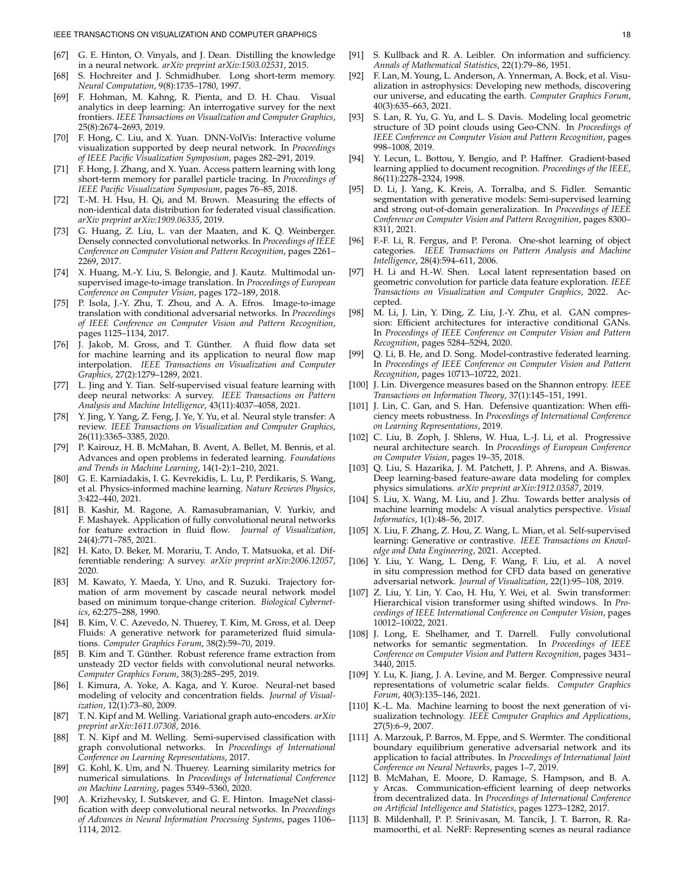- <span id="page-17-37"></span>[67] G. E. Hinton, O. Vinyals, and J. Dean. Distilling the knowledge in a neural network. *arXiv preprint arXiv:1503.02531*, 2015.
- <span id="page-17-24"></span>[68] S. Hochreiter and J. Schmidhuber. Long short-term memory. *Neural Computation*, 9(8):1735–1780, 1997.
- <span id="page-17-3"></span>[69] F. Hohman, M. Kahng, R. Pienta, and D. H. Chau. Visual analytics in deep learning: An interrogative survey for the next frontiers. *IEEE Transactions on Visualization and Computer Graphics*, 25(8):2674–2693, 2019.
- <span id="page-17-10"></span>[70] F. Hong, C. Liu, and X. Yuan. DNN-VolVis: Interactive volume visualization supported by deep neural network. In *Proceedings of IEEE Pacific Visualization Symposium*, pages 282–291, 2019.
- <span id="page-17-11"></span>[71] F. Hong, J. Zhang, and X. Yuan. Access pattern learning with long short-term memory for parallel particle tracing. In *Proceedings of IEEE Pacific Visualization Symposium*, pages 76–85, 2018.
- <span id="page-17-41"></span>T.-M. H. Hsu, H. Qi, and M. Brown. Measuring the effects of non-identical data distribution for federated visual classification. *arXiv preprint arXiv:1909.06335*, 2019.
- <span id="page-17-17"></span>[73] G. Huang, Z. Liu, L. van der Maaten, and K. Q. Weinberger. Densely connected convolutional networks. In *Proceedings of IEEE Conference on Computer Vision and Pattern Recognition*, pages 2261– 2269, 2017.
- <span id="page-17-34"></span>[74] X. Huang, M.-Y. Liu, S. Belongie, and J. Kautz. Multimodal unsupervised image-to-image translation. In *Proceedings of European Conference on Computer Vision*, pages 172–189, 2018.
- <span id="page-17-26"></span>[75] P. Isola, J.-Y. Zhu, T. Zhou, and A. A. Efros. Image-to-image translation with conditional adversarial networks. In *Proceedings of IEEE Conference on Computer Vision and Pattern Recognition*, pages 1125–1134, 2017.
- <span id="page-17-7"></span>[76] J. Jakob, M. Gross, and T. Günther. A fluid flow data set for machine learning and its application to neural flow map interpolation. *IEEE Transactions on Visualization and Computer Graphics*, 27(2):1279–1289, 2021.
- <span id="page-17-28"></span>L. Jing and Y. Tian. Self-supervised visual feature learning with deep neural networks: A survey. *IEEE Transactions on Pattern Analysis and Machine Intelligence*, 43(11):4037–4058, 2021.
- <span id="page-17-35"></span>[78] Y. Jing, Y. Yang, Z. Feng, J. Ye, Y. Yu, et al. Neural style transfer: A review. *IEEE Transactions on Visualization and Computer Graphics*, 26(11):3365–3385, 2020.
- <span id="page-17-39"></span>[79] P. Kairouz, H. B. McMahan, B. Avent, A. Bellet, M. Bennis, et al. Advances and open problems in federated learning. *Foundations and Trends in Machine Learning*, 14(1-2):1–210, 2021.
- <span id="page-17-43"></span>[80] G. E. Karniadakis, I. G. Kevrekidis, L. Lu, P. Perdikaris, S. Wang, et al. Physics-informed machine learning. *Nature Reviews Physics*, 3:422–440, 2021.
- <span id="page-17-13"></span>[81] B. Kashir, M. Ragone, A. Ramasubramanian, V. Yurkiv, and F. Mashayek. Application of fully convolutional neural networks for feature extraction in fluid flow. *Journal of Visualization*, 24(4):771–785, 2021.
- <span id="page-17-27"></span>[82] H. Kato, D. Beker, M. Morariu, T. Ando, T. Matsuoka, et al. Differentiable rendering: A survey. *arXiv preprint arXiv:2006.12057*, 2020.
- <span id="page-17-23"></span>[83] M. Kawato, Y. Maeda, Y. Uno, and R. Suzuki. Trajectory formation of arm movement by cascade neural network model based on minimum torque-change criterion. *Biological Cybernetics*, 62:275–288, 1990.
- <span id="page-17-9"></span>B. Kim, V. C. Azevedo, N. Thuerey, T. Kim, M. Gross, et al. Deep Fluids: A generative network for parameterized fluid simulations. *Computer Graphics Forum*, 38(2):59–70, 2019.
- <span id="page-17-12"></span>[85] B. Kim and T. Günther. Robust reference frame extraction from unsteady 2D vector fields with convolutional neural networks. *Computer Graphics Forum*, 38(3):285–295, 2019.
- <span id="page-17-1"></span>[86] I. Kimura, A. Yoke, A. Kaga, and Y. Kuroe. Neural-net based modeling of velocity and concentration fields. *Journal of Visualization*, 12(1):73–80, 2009.
- <span id="page-17-21"></span>[87] T. N. Kipf and M. Welling. Variational graph auto-encoders. *arXiv preprint arXiv:1611.07308*, 2016.
- <span id="page-17-22"></span>[88] T. N. Kipf and M. Welling. Semi-supervised classification with graph convolutional networks. In *Proceedings of International Conference on Learning Representations*, 2017.
- <span id="page-17-25"></span>[89] G. Kohl, K. Um, and N. Thuerey. Learning similarity metrics for numerical simulations. In *Proceedings of International Conference on Machine Learning*, pages 5349–5360, 2020.
- <span id="page-17-2"></span>[90] A. Krizhevsky, I. Sutskever, and G. E. Hinton. ImageNet classification with deep convolutional neural networks. In *Proceedings of Advances in Neural Information Processing Systems*, pages 1106– 1114, 2012.
- <span id="page-17-30"></span>[91] S. Kullback and R. A. Leibler. On information and sufficiency. *Annals of Mathematical Statistics*, 22(1):79–86, 1951.
- <span id="page-17-5"></span>[92] F. Lan, M. Young, L. Anderson, A. Ynnerman, A. Bock, et al. Visualization in astrophysics: Developing new methods, discovering our universe, and educating the earth. *Computer Graphics Forum*, 40(3):635–663, 2021.
- <span id="page-17-19"></span>[93] S. Lan, R. Yu, G. Yu, and L. S. Davis. Modeling local geometric structure of 3D point clouds using Geo-CNN. In *Proceedings of IEEE Conference on Computer Vision and Pattern Recognition*, pages 998–1008, 2019.
- <span id="page-17-16"></span>[94] Y. Lecun, L. Bottou, Y. Bengio, and P. Haffner. Gradient-based learning applied to document recognition. *Proceedings of the IEEE*, 86(11):2278–2324, 1998.
- <span id="page-17-44"></span>[95] D. Li, J. Yang, K. Kreis, A. Torralba, and S. Fidler. Semantic segmentation with generative models: Semi-supervised learning and strong out-of-domain generalization. In *Proceedings of IEEE Conference on Computer Vision and Pattern Recognition*, pages 8300– 8311, 2021.
- <span id="page-17-45"></span>[96] F.-F. Li, R. Fergus, and P. Perona. One-shot learning of object categories. *IEEE Transactions on Pattern Analysis and Machine Intelligence*, 28(4):594–611, 2006.
- <span id="page-17-15"></span>[97] H. Li and H.-W. Shen. Local latent representation based on geometric convolution for particle data feature exploration. *IEEE Transactions on Visualization and Computer Graphics*, 2022. Accepted.
- <span id="page-17-38"></span>[98] M. Li, J. Lin, Y. Ding, Z. Liu, J.-Y. Zhu, et al. GAN compression: Efficient architectures for interactive conditional GANs. In *Proceedings of IEEE Conference on Computer Vision and Pattern Recognition*, pages 5284–5294, 2020.
- <span id="page-17-42"></span>[99] Q. Li, B. He, and D. Song. Model-contrastive federated learning. In *Proceedings of IEEE Conference on Computer Vision and Pattern Recognition*, pages 10713–10722, 2021.
- <span id="page-17-31"></span>[100] J. Lin. Divergence measures based on the Shannon entropy. *IEEE Transactions on Information Theory*, 37(1):145–151, 1991.
- <span id="page-17-36"></span>[101] J. Lin, C. Gan, and S. Han. Defensive quantization: When efficiency meets robustness. In *Proceedings of International Conference on Learning Representations*, 2019.
- <span id="page-17-46"></span>[102] C. Liu, B. Zoph, J. Shlens, W. Hua, L.-J. Li, et al. Progressive neural architecture search. In *Proceedings of European Conference on Computer Vision*, pages 19–35, 2018.
- <span id="page-17-14"></span>[103] Q. Liu, S. Hazarika, J. M. Patchett, J. P. Ahrens, and A. Biswas. Deep learning-based feature-aware data modeling for complex physics simulations. *arXiv preprint arXiv:1912.03587*, 2019.
- <span id="page-17-4"></span>[104] S. Liu, X. Wang, M. Liu, and J. Zhu. Towards better analysis of machine learning models: A visual analytics perspective. *Visual Informatics*, 1(1):48–56, 2017.
- <span id="page-17-29"></span>[105] X. Liu, F. Zhang, Z. Hou, Z. Wang, L. Mian, et al. Self-supervised learning: Generative or contrastive. *IEEE Transactions on Knowledge and Data Engineering*, 2021. Accepted.
- <span id="page-17-8"></span>[106] Y. Liu, Y. Wang, L. Deng, F. Wang, F. Liu, et al. A novel in situ compression method for CFD data based on generative adversarial network. *Journal of Visualization*, 22(1):95–108, 2019.
- <span id="page-17-32"></span>[107] Z. Liu, Y. Lin, Y. Cao, H. Hu, Y. Wei, et al. Swin transformer: Hierarchical vision transformer using shifted windows. In *Proceedings of IEEE International Conference on Computer Vision*, pages 10012–10022, 2021.
- <span id="page-17-18"></span>[108] J. Long, E. Shelhamer, and T. Darrell. Fully convolutional networks for semantic segmentation. In *Proceedings of IEEE Conference on Computer Vision and Pattern Recognition*, pages 3431– 3440, 2015.
- <span id="page-17-6"></span>[109] Y. Lu, K. Jiang, J. A. Levine, and M. Berger. Compressive neural representations of volumetric scalar fields. *Computer Graphics Forum*, 40(3):135–146, 2021.
- <span id="page-17-0"></span>[110] K.-L. Ma. Machine learning to boost the next generation of visualization technology. *IEEE Computer Graphics and Applications*, 27(5):6–9, 2007.
- <span id="page-17-20"></span>[111] A. Marzouk, P. Barros, M. Eppe, and S. Wermter. The conditional boundary equilibrium generative adversarial network and its application to facial attributes. In *Proceedings of International Joint Conference on Neural Networks*, pages 1–7, 2019.
- <span id="page-17-40"></span>[112] B. McMahan, E. Moore, D. Ramage, S. Hampson, and B. A. y Arcas. Communication-efficient learning of deep networks from decentralized data. In *Proceedings of International Conference on Artificial Intelligence and Statistics*, pages 1273–1282, 2017.
- <span id="page-17-33"></span>[113] B. Mildenhall, P. P. Srinivasan, M. Tancik, J. T. Barron, R. Ramamoorthi, et al. NeRF: Representing scenes as neural radiance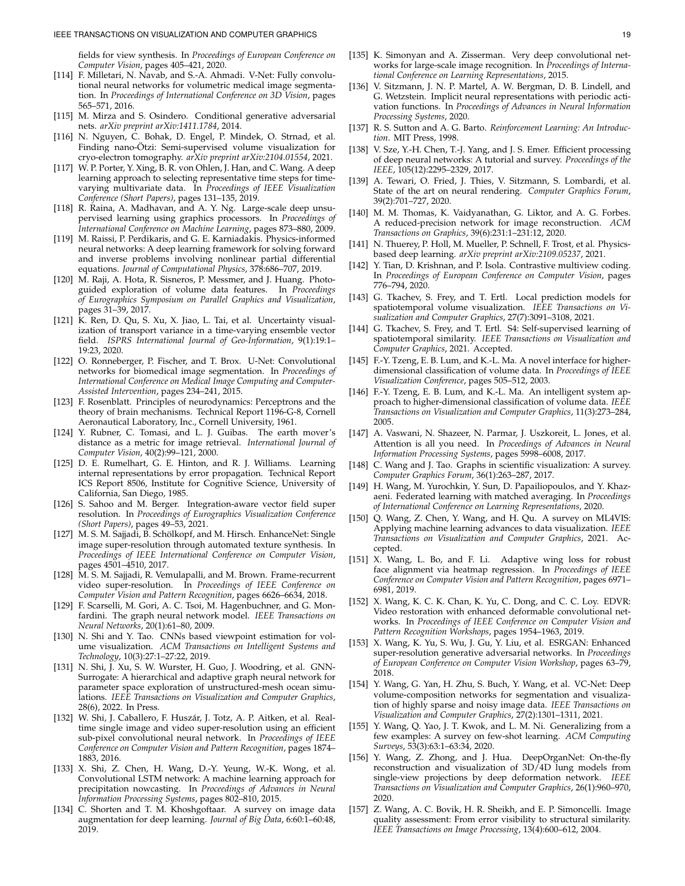fields for view synthesis. In *Proceedings of European Conference on Computer Vision*, pages 405–421, 2020.

- <span id="page-18-32"></span>[114] F. Milletari, N. Navab, and S.-A. Ahmadi. V-Net: Fully convolutional neural networks for volumetric medical image segmentation. In *Proceedings of International Conference on 3D Vision*, pages 565–571, 2016.
- <span id="page-18-19"></span>[115] M. Mirza and S. Osindero. Conditional generative adversarial nets. *arXiv preprint arXiv:1411.1784*, 2014.
- <span id="page-18-12"></span>[116] N. Nguyen, C. Bohak, D. Engel, P. Mindek, O. Strnad, et al. Finding nano-Ötzi: Semi-supervised volume visualization for cryo-electron tomography. *arXiv preprint arXiv:2104.01554*, 2021.
- <span id="page-18-14"></span>[117] W. P. Porter, Y. Xing, B. R. von Ohlen, J. Han, and C. Wang. A deep learning approach to selecting representative time steps for timevarying multivariate data. In *Proceedings of IEEE Visualization Conference (Short Papers)*, pages 131–135, 2019.
- <span id="page-18-2"></span>[118] R. Raina, A. Madhavan, and A. Y. Ng. Large-scale deep unsupervised learning using graphics processors. In *Proceedings of International Conference on Machine Learning*, pages 873–880, 2009.
- <span id="page-18-40"></span>[119] M. Raissi, P. Perdikaris, and G. E. Karniadakis. Physics-informed neural networks: A deep learning framework for solving forward and inverse problems involving nonlinear partial differential equations. *Journal of Computational Physics*, 378:686–707, 2019.
- <span id="page-18-13"></span>[120] M. Raji, A. Hota, R. Sisneros, P. Messmer, and J. Huang. Photoguided exploration of volume data features. In *Proceedings of Eurographics Symposium on Parallel Graphics and Visualization*, pages 31–39, 2017.
- <span id="page-18-25"></span>[121] K. Ren, D. Qu, S. Xu, X. Jiao, L. Tai, et al. Uncertainty visualization of transport variance in a time-varying ensemble vector field. *ISPRS International Journal of Geo-Information*, 9(1):19:1– 19:23, 2020.
- <span id="page-18-4"></span>[122] O. Ronneberger, P. Fischer, and T. Brox. U-Net: Convolutional networks for biomedical image segmentation. In *Proceedings of International Conference on Medical Image Computing and Computer-Assisted Intervention*, pages 234–241, 2015.
- <span id="page-18-22"></span>[123] F. Rosenblatt. Principles of neurodynamics: Perceptrons and the theory of brain mechanisms. Technical Report 1196-G-8, Cornell Aeronautical Laboratory, Inc., Cornell University, 1961.
- <span id="page-18-27"></span>[124] Y. Rubner, C. Tomasi, and L. J. Guibas. The earth mover's distance as a metric for image retrieval. *International Journal of Computer Vision*, 40(2):99–121, 2000.
- <span id="page-18-23"></span>[125] D. E. Rumelhart, G. E. Hinton, and R. J. Williams. Learning internal representations by error propagation. Technical Report ICS Report 8506, Institute for Cognitive Science, University of California, San Diego, 1985.
- <span id="page-18-7"></span>[126] S. Sahoo and M. Berger. Integration-aware vector field super resolution. In *Proceedings of Eurographics Visualization Conference (Short Papers)*, pages 49–53, 2021.
- <span id="page-18-16"></span>[127] M. S. M. Sajjadi, B. Schölkopf, and M. Hirsch. EnhanceNet: Single image super-resolution through automated texture synthesis. In *Proceedings of IEEE International Conference on Computer Vision*, pages 4501–4510, 2017.
- <span id="page-18-18"></span>[128] M. S. M. Sajjadi, R. Vemulapalli, and M. Brown. Frame-recurrent video super-resolution. In *Proceedings of IEEE Conference on Computer Vision and Pattern Recognition*, pages 6626–6634, 2018.
- <span id="page-18-21"></span>[129] F. Scarselli, M. Gori, A. C. Tsoi, M. Hagenbuchner, and G. Monfardini. The graph neural network model. *IEEE Transactions on Neural Networks*, 20(1):61–80, 2009.
- <span id="page-18-11"></span>[130] N. Shi and Y. Tao. CNNs based viewpoint estimation for volume visualization. *ACM Transactions on Intelligent Systems and Technology*, 10(3):27:1–27:22, 2019.
- <span id="page-18-9"></span>[131] N. Shi, J. Xu, S. W. Wurster, H. Guo, J. Woodring, et al. GNN-Surrogate: A hierarchical and adaptive graph neural network for parameter space exploration of unstructured-mesh ocean simulations. *IEEE Transactions on Visualization and Computer Graphics*, 28(6), 2022. In Press.
- <span id="page-18-17"></span>[132] W. Shi, J. Caballero, F. Huszár, J. Totz, A. P. Aitken, et al. Realtime single image and video super-resolution using an efficient sub-pixel convolutional neural network. In *Proceedings of IEEE Conference on Computer Vision and Pattern Recognition*, pages 1874– 1883, 2016.
- <span id="page-18-24"></span>[133] X. Shi, Z. Chen, H. Wang, D.-Y. Yeung, W.-K. Wong, et al. Convolutional LSTM network: A machine learning approach for precipitation nowcasting. In *Proceedings of Advances in Neural Information Processing Systems*, pages 802–810, 2015.
- <span id="page-18-41"></span>[134] C. Shorten and T. M. Khoshgoftaar. A survey on image data augmentation for deep learning. *Journal of Big Data*, 6:60:1–60:48, 2019.
- <span id="page-18-33"></span>[135] K. Simonyan and A. Zisserman. Very deep convolutional networks for large-scale image recognition. In *Proceedings of International Conference on Learning Representations*, 2015.
- <span id="page-18-29"></span>[136] V. Sitzmann, J. N. P. Martel, A. W. Bergman, D. B. Lindell, and G. Wetzstein. Implicit neural representations with periodic activation functions. In *Proceedings of Advances in Neural Information Processing Systems*, 2020.
- <span id="page-18-43"></span>[137] R. S. Sutton and A. G. Barto. *Reinforcement Learning: An Introduction*. MIT Press, 1998.
- <span id="page-18-3"></span>[138] V. Sze, Y.-H. Chen, T.-J. Yang, and J. S. Emer. Efficient processing of deep neural networks: A tutorial and survey. *Proceedings of the IEEE*, 105(12):2295–2329, 2017.
- <span id="page-18-30"></span>[139] A. Tewari, O. Fried, J. Thies, V. Sitzmann, S. Lombardi, et al. State of the art on neural rendering. *Computer Graphics Forum*, 39(2):701–727, 2020.
- <span id="page-18-37"></span>[140] M. M. Thomas, K. Vaidyanathan, G. Liktor, and A. G. Forbes. A reduced-precision network for image reconstruction. *ACM Transactions on Graphics*, 39(6):231:1–231:12, 2020.
- <span id="page-18-39"></span>[141] N. Thuerey, P. Holl, M. Mueller, P. Schnell, F. Trost, et al. Physicsbased deep learning. *arXiv preprint arXiv:2109.05237*, 2021.
- <span id="page-18-35"></span>[142] Y. Tian, D. Krishnan, and P. Isola. Contrastive multiview coding. In *Proceedings of European Conference on Computer Vision*, pages 776–794, 2020.
- <span id="page-18-10"></span>[143] G. Tkachev, S. Frey, and T. Ertl. Local prediction models for spatiotemporal volume visualization. *IEEE Transactions on Visualization and Computer Graphics*, 27(7):3091–3108, 2021.
- <span id="page-18-15"></span>[144] G. Tkachev, S. Frey, and T. Ertl. S4: Self-supervised learning of spatiotemporal similarity. *IEEE Transactions on Visualization and Computer Graphics*, 2021. Accepted.
- <span id="page-18-0"></span>[145] F.-Y. Tzeng, E. B. Lum, and K.-L. Ma. A novel interface for higherdimensional classification of volume data. In *Proceedings of IEEE Visualization Conference*, pages 505–512, 2003.
- <span id="page-18-1"></span>[146] F.-Y. Tzeng, E. B. Lum, and K.-L. Ma. An intelligent system approach to higher-dimensional classification of volume data. *IEEE Transactions on Visualization and Computer Graphics*, 11(3):273–284, 2005.
- <span id="page-18-36"></span>[147] A. Vaswani, N. Shazeer, N. Parmar, J. Uszkoreit, L. Jones, et al. Attention is all you need. In *Proceedings of Advances in Neural Information Processing Systems*, pages 5998–6008, 2017.
- <span id="page-18-34"></span>[148] C. Wang and J. Tao. Graphs in scientific visualization: A survey. *Computer Graphics Forum*, 36(1):263–287, 2017.
- <span id="page-18-38"></span>[149] H. Wang, M. Yurochkin, Y. Sun, D. Papailiopoulos, and Y. Khazaeni. Federated learning with matched averaging. In *Proceedings of International Conference on Learning Representations*, 2020.
- <span id="page-18-5"></span>[150] Q. Wang, Z. Chen, Y. Wang, and H. Qu. A survey on ML4VIS: Applying machine learning advances to data visualization. *IEEE Transactions on Visualization and Computer Graphics*, 2021. Accepted.
- <span id="page-18-26"></span>[151] X. Wang, L. Bo, and F. Li. Adaptive wing loss for robust face alignment via heatmap regression. In *Proceedings of IEEE Conference on Computer Vision and Pattern Recognition*, pages 6971– 6981, 2019.
- <span id="page-18-31"></span>[152] X. Wang, K. C. K. Chan, K. Yu, C. Dong, and C. C. Loy. EDVR: Video restoration with enhanced deformable convolutional networks. In *Proceedings of IEEE Conference on Computer Vision and Pattern Recognition Workshops*, pages 1954–1963, 2019.
- <span id="page-18-20"></span>[153] X. Wang, K. Yu, S. Wu, J. Gu, Y. Liu, et al. ESRGAN: Enhanced super-resolution generative adversarial networks. In *Proceedings of European Conference on Computer Vision Workshop*, pages 63–79, 2018.
- <span id="page-18-6"></span>[154] Y. Wang, G. Yan, H. Zhu, S. Buch, Y. Wang, et al. VC-Net: Deep volume-composition networks for segmentation and visualization of highly sparse and noisy image data. *IEEE Transactions on Visualization and Computer Graphics*, 27(2):1301–1311, 2021.
- <span id="page-18-42"></span>[155] Y. Wang, Q. Yao, J. T. Kwok, and L. M. Ni. Generalizing from a few examples: A survey on few-shot learning. *ACM Computing Surveys*, 53(3):63:1–63:34, 2020.
- <span id="page-18-8"></span>[156] Y. Wang, Z. Zhong, and J. Hua. DeepOrganNet: On-the-fly reconstruction and visualization of 3D/4D lung models from single-view projections by deep deformation network. *IEEE Transactions on Visualization and Computer Graphics*, 26(1):960–970, 2020.
- <span id="page-18-28"></span>[157] Z. Wang, A. C. Bovik, H. R. Sheikh, and E. P. Simoncelli. Image quality assessment: From error visibility to structural similarity. *IEEE Transactions on Image Processing*, 13(4):600–612, 2004.